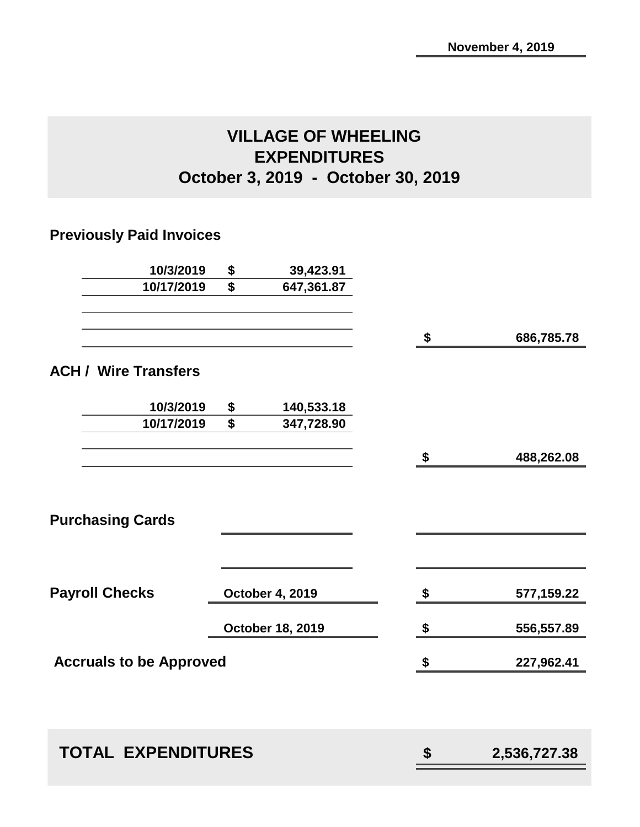## **VILLAGE OF WHEELING EXPENDITURES October 3, 2019 - October 30, 2019**

## **Previously Paid Invoices**

| 10/3/2019                      | \$<br>39,423.91        |                    |
|--------------------------------|------------------------|--------------------|
| 10/17/2019                     | \$<br>647,361.87       |                    |
|                                |                        | \$<br>686,785.78   |
| <b>ACH / Wire Transfers</b>    |                        |                    |
| 10/3/2019                      | \$<br>140,533.18       |                    |
| 10/17/2019                     | \$<br>347,728.90       |                    |
|                                |                        | \$<br>488,262.08   |
| <b>Purchasing Cards</b>        |                        |                    |
|                                |                        |                    |
| <b>Payroll Checks</b>          | <b>October 4, 2019</b> | \$<br>577,159.22   |
|                                | October 18, 2019       | \$<br>556,557.89   |
| <b>Accruals to be Approved</b> |                        | \$<br>227,962.41   |
|                                |                        |                    |
| <b>TOTAL EXPENDITURES</b>      |                        | \$<br>2,536,727.38 |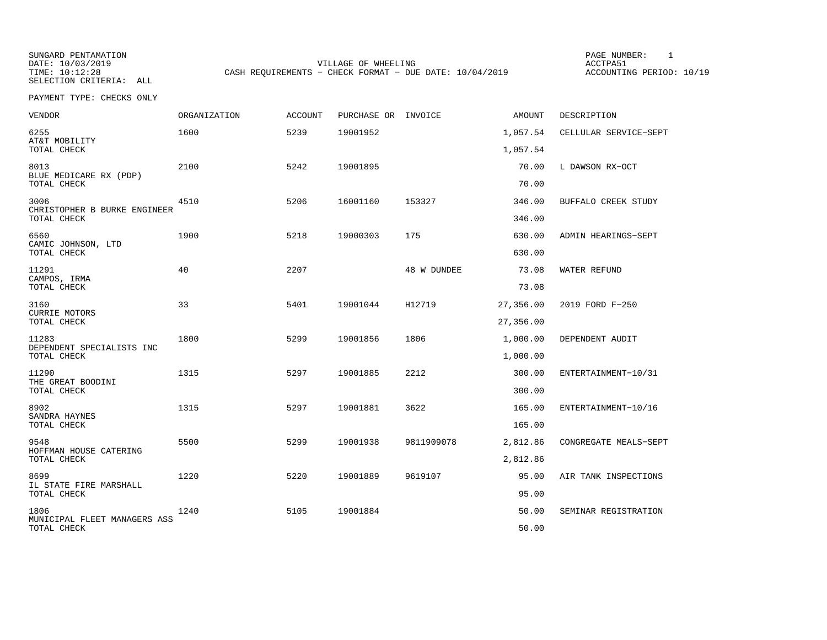SUNGARD PENTAMATION PAGE NUMBER: 1SELECTION CRITERIA: ALL

DATE: 10/03/2019 VILLAGE OF WHEELING ACCTPA51CASH REQUIREMENTS - CHECK FORMAT - DUE DATE: 10/04/2019

ACCOUNTING PERIOD: 10/19

| <b>VENDOR</b>                                 | ORGANIZATION | <b>ACCOUNT</b> | PURCHASE OR INVOICE |             | AMOUNT           | DESCRIPTION           |
|-----------------------------------------------|--------------|----------------|---------------------|-------------|------------------|-----------------------|
| 6255<br>AT&T MOBILITY                         | 1600         | 5239           | 19001952            |             | 1,057.54         | CELLULAR SERVICE-SEPT |
| TOTAL CHECK                                   |              |                |                     |             | 1,057.54         |                       |
| 8013<br>BLUE MEDICARE RX (PDP)<br>TOTAL CHECK | 2100         | 5242           | 19001895            |             | 70.00<br>70.00   | L DAWSON RX-OCT       |
| 3006<br>CHRISTOPHER B BURKE ENGINEER          | 4510         | 5206           | 16001160            | 153327      | 346.00           | BUFFALO CREEK STUDY   |
| TOTAL CHECK                                   |              |                |                     |             | 346.00           |                       |
| 6560<br>CAMIC JOHNSON, LTD<br>TOTAL CHECK     | 1900         | 5218           | 19000303            | 175         | 630.00<br>630.00 | ADMIN HEARINGS-SEPT   |
| 11291<br>CAMPOS, IRMA                         | 40           | 2207           |                     | 48 W DUNDEE | 73.08            | WATER REFUND          |
| TOTAL CHECK                                   |              |                |                     |             | 73.08            |                       |
| 3160<br>CURRIE MOTORS                         | 33           | 5401           | 19001044            | H12719      | 27,356.00        | 2019 FORD F-250       |
| TOTAL CHECK                                   |              |                |                     |             | 27,356.00        |                       |
| 11283<br>DEPENDENT SPECIALISTS INC            | 1800         | 5299           | 19001856            | 1806        | 1,000.00         | DEPENDENT AUDIT       |
| TOTAL CHECK                                   |              |                |                     |             | 1,000.00         |                       |
| 11290<br>THE GREAT BOODINI                    | 1315         | 5297           | 19001885            | 2212        | 300.00           | ENTERTAINMENT-10/31   |
| TOTAL CHECK                                   |              |                |                     |             | 300.00           |                       |
| 8902<br>SANDRA HAYNES                         | 1315         | 5297           | 19001881            | 3622        | 165.00           | ENTERTAINMENT-10/16   |
| TOTAL CHECK                                   |              |                |                     |             | 165.00           |                       |
| 9548<br>HOFFMAN HOUSE CATERING                | 5500         | 5299           | 19001938            | 9811909078  | 2,812.86         | CONGREGATE MEALS-SEPT |
| TOTAL CHECK                                   |              |                |                     |             | 2,812.86         |                       |
| 8699<br>IL STATE FIRE MARSHALL                | 1220         | 5220           | 19001889            | 9619107     | 95.00            | AIR TANK INSPECTIONS  |
| TOTAL CHECK                                   |              |                |                     |             | 95.00            |                       |
| 1806<br>MUNICIPAL FLEET MANAGERS ASS          | 1240         | 5105           | 19001884            |             | 50.00            | SEMINAR REGISTRATION  |
| TOTAL CHECK                                   |              |                |                     |             | 50.00            |                       |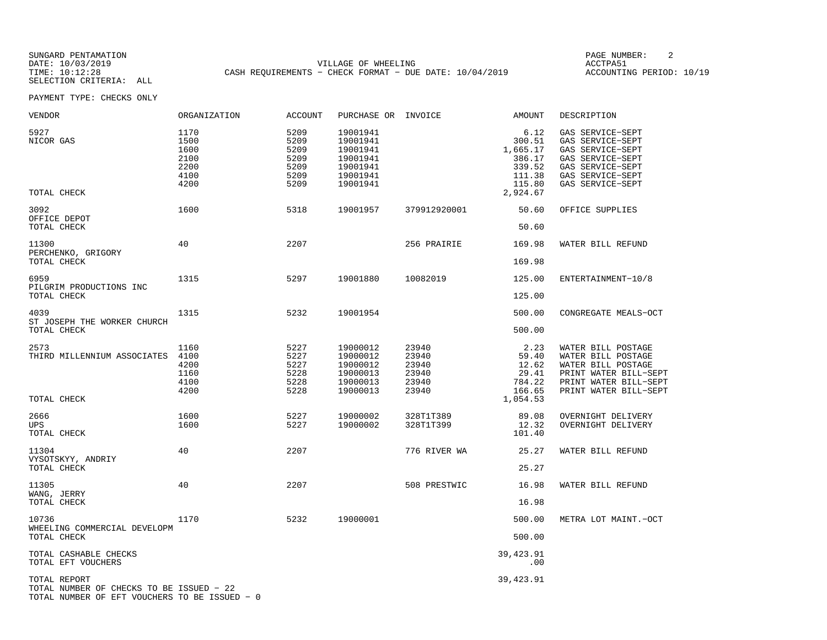SUNGARD PENTAMATION PAGE NUMBER: 2DATE: 10/03/2019 VILLAGE OF WHEELING ACCTPA51CASH REQUIREMENTS - CHECK FORMAT - DUE DATE: 10/04/2019

ACCOUNTING PERIOD: 10/19

| VENDOR                                                                                                    | ORGANIZATION                                         | ACCOUNT                                              | PURCHASE OR INVOICE                                                              |                                                    | AMOUNT                                                                         | DESCRIPTION                                                                                                                               |
|-----------------------------------------------------------------------------------------------------------|------------------------------------------------------|------------------------------------------------------|----------------------------------------------------------------------------------|----------------------------------------------------|--------------------------------------------------------------------------------|-------------------------------------------------------------------------------------------------------------------------------------------|
| 5927<br>NICOR GAS<br>TOTAL CHECK                                                                          | 1170<br>1500<br>1600<br>2100<br>2200<br>4100<br>4200 | 5209<br>5209<br>5209<br>5209<br>5209<br>5209<br>5209 | 19001941<br>19001941<br>19001941<br>19001941<br>19001941<br>19001941<br>19001941 |                                                    | 6.12<br>300.51<br>1,665.17<br>386.17<br>339.52<br>111.38<br>115.80<br>2,924.67 | GAS SERVICE-SEPT<br>GAS SERVICE-SEPT<br>GAS SERVICE-SEPT<br>GAS SERVICE-SEPT<br>GAS SERVICE-SEPT<br>GAS SERVICE-SEPT<br>GAS SERVICE-SEPT  |
| 3092<br>OFFICE DEPOT<br>TOTAL CHECK                                                                       | 1600                                                 | 5318                                                 | 19001957                                                                         | 379912920001                                       | 50.60<br>50.60                                                                 | OFFICE SUPPLIES                                                                                                                           |
| 11300<br>PERCHENKO, GRIGORY<br>TOTAL CHECK                                                                | 40                                                   | 2207                                                 |                                                                                  | 256 PRAIRIE                                        | 169.98<br>169.98                                                               | WATER BILL REFUND                                                                                                                         |
| 6959<br>PILGRIM PRODUCTIONS INC<br>TOTAL CHECK                                                            | 1315                                                 | 5297                                                 | 19001880                                                                         | 10082019                                           | 125.00<br>125.00                                                               | ENTERTAINMENT-10/8                                                                                                                        |
| 4039<br>ST JOSEPH THE WORKER CHURCH<br>TOTAL CHECK                                                        | 1315                                                 | 5232                                                 | 19001954                                                                         |                                                    | 500.00<br>500.00                                                               | CONGREGATE MEALS-OCT                                                                                                                      |
| 2573<br>THIRD MILLENNIUM ASSOCIATES 4100<br>TOTAL CHECK                                                   | 1160<br>4200<br>1160<br>4100<br>4200                 | 5227<br>5227<br>5227<br>5228<br>5228<br>5228         | 19000012<br>19000012<br>19000012<br>19000013<br>19000013<br>19000013             | 23940<br>23940<br>23940<br>23940<br>23940<br>23940 | 2.23<br>59.40<br>12.62<br>29.41<br>784.22<br>166.65<br>1,054.53                | WATER BILL POSTAGE<br>WATER BILL POSTAGE<br>WATER BILL POSTAGE<br>PRINT WATER BILL-SEPT<br>PRINT WATER BILL-SEPT<br>PRINT WATER BILL-SEPT |
| 2666<br>UPS<br>TOTAL CHECK                                                                                | 1600<br>1600                                         | 5227<br>5227                                         | 19000002<br>19000002                                                             | 328T1T389<br>328T1T399                             | 89.08<br>12.32<br>101.40                                                       | OVERNIGHT DELIVERY<br>OVERNIGHT DELIVERY                                                                                                  |
| 11304<br>VYSOTSKYY, ANDRIY<br>TOTAL CHECK                                                                 | 40                                                   | 2207                                                 |                                                                                  | 776 RIVER WA                                       | 25.27<br>25.27                                                                 | WATER BILL REFUND                                                                                                                         |
| 11305<br>WANG, JERRY<br>TOTAL CHECK                                                                       | 40                                                   | 2207                                                 |                                                                                  | 508 PRESTWIC                                       | 16.98<br>16.98                                                                 | WATER BILL REFUND                                                                                                                         |
| 10736<br>WHEELING COMMERCIAL DEVELOPM<br>TOTAL CHECK                                                      | 1170                                                 | 5232                                                 | 19000001                                                                         |                                                    | 500.00<br>500.00                                                               | METRA LOT MAINT.-OCT                                                                                                                      |
| TOTAL CASHABLE CHECKS<br>TOTAL EFT VOUCHERS                                                               |                                                      |                                                      |                                                                                  |                                                    | 39,423.91<br>.00                                                               |                                                                                                                                           |
| TOTAL REPORT<br>TOTAL NUMBER OF CHECKS TO BE ISSUED - 22<br>TOTAL NUMBER OF EFT VOUCHERS TO BE ISSUED - 0 |                                                      |                                                      |                                                                                  |                                                    | 39,423.91                                                                      |                                                                                                                                           |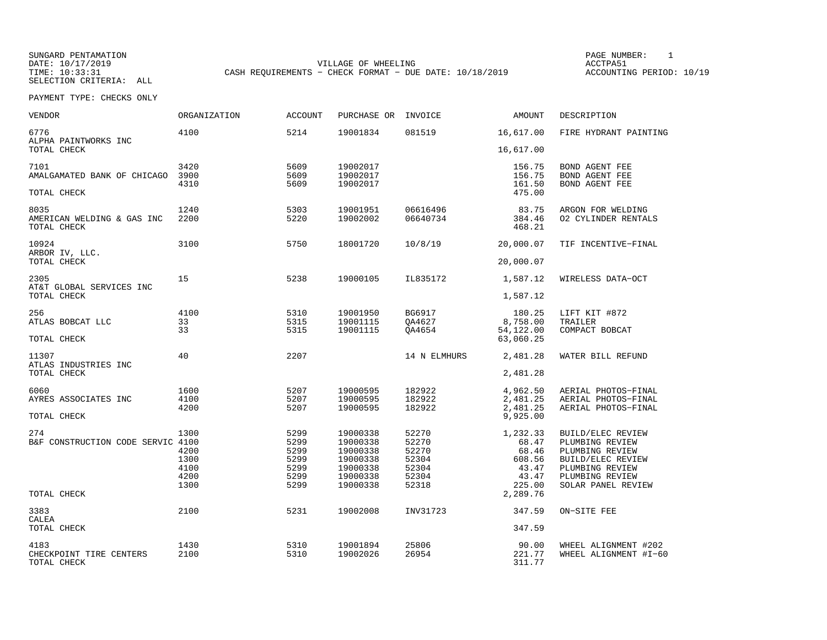SUNGARD PENTAMATION SUNGARD PENTAMATION SUNG PAGE NUMBER: 1 SUNGARD PENTAMATION SUNG PAGE NUMBER: 1 SUNG PAGE NUMBER: 1 SUNG PAGE NUMBER: 1 SUNG PAGE NUMBER: 1 SUNG PAGE NUMBER: 1 SUNG PAGE NUMBER: 1 SUNG PAGE NUMBER: 1 SU DATE: 10/17/2019 VILLAGE OF WHEELING ACCTPA51CASH REQUIREMENTS - CHECK FORMAT - DUE DATE: 10/18/2019

ACCOUNTING PERIOD: 10/19

| <b>VENDOR</b>                                     | ORGANIZATION                                 | <b>ACCOUNT</b>                                       | PURCHASE OR                                                                      | INVOICE                                                     | AMOUNT                                                           | DESCRIPTION                                                                                                                              |
|---------------------------------------------------|----------------------------------------------|------------------------------------------------------|----------------------------------------------------------------------------------|-------------------------------------------------------------|------------------------------------------------------------------|------------------------------------------------------------------------------------------------------------------------------------------|
| 6776<br>ALPHA PAINTWORKS INC                      | 4100                                         | 5214                                                 | 19001834                                                                         | 081519                                                      | 16,617.00                                                        | FIRE HYDRANT PAINTING                                                                                                                    |
| TOTAL CHECK                                       |                                              |                                                      |                                                                                  |                                                             | 16,617.00                                                        |                                                                                                                                          |
| 7101<br>AMALGAMATED BANK OF CHICAGO               | 3420<br>3900<br>4310                         | 5609<br>5609<br>5609                                 | 19002017<br>19002017<br>19002017                                                 |                                                             | 156.75<br>156.75<br>161.50                                       | BOND AGENT FEE<br>BOND AGENT FEE<br>BOND AGENT FEE                                                                                       |
| TOTAL CHECK                                       |                                              |                                                      |                                                                                  |                                                             | 475.00                                                           |                                                                                                                                          |
| 8035<br>AMERICAN WELDING & GAS INC<br>TOTAL CHECK | 1240<br>2200                                 | 5303<br>5220                                         | 19001951<br>19002002                                                             | 06616496<br>06640734                                        | 83.75<br>384.46<br>468.21                                        | ARGON FOR WELDING<br>02 CYLINDER RENTALS                                                                                                 |
| 10924<br>ARBOR IV, LLC.                           | 3100                                         | 5750                                                 | 18001720                                                                         | 10/8/19                                                     | 20,000.07                                                        | TIF INCENTIVE-FINAL                                                                                                                      |
| TOTAL CHECK                                       |                                              |                                                      |                                                                                  |                                                             | 20,000.07                                                        |                                                                                                                                          |
| 2305<br>AT&T GLOBAL SERVICES INC                  | 15                                           | 5238                                                 | 19000105                                                                         | IL835172                                                    | 1,587.12                                                         | WIRELESS DATA-OCT                                                                                                                        |
| TOTAL CHECK                                       |                                              |                                                      |                                                                                  |                                                             | 1,587.12                                                         |                                                                                                                                          |
| 256<br>ATLAS BOBCAT LLC                           | 4100<br>33<br>33                             | 5310<br>5315<br>5315                                 | 19001950<br>19001115<br>19001115                                                 | BG6917<br>QA4627<br>OA4654                                  | 180.25<br>8,758.00<br>54,122.00                                  | LIFT KIT #872<br>TRAILER<br>COMPACT BOBCAT                                                                                               |
| TOTAL CHECK                                       |                                              |                                                      |                                                                                  |                                                             | 63,060.25                                                        |                                                                                                                                          |
| 11307<br>ATLAS INDUSTRIES INC                     | 40                                           | 2207                                                 |                                                                                  | 14 N ELMHURS                                                | 2,481.28                                                         | WATER BILL REFUND                                                                                                                        |
| TOTAL CHECK                                       |                                              |                                                      |                                                                                  |                                                             | 2,481.28                                                         |                                                                                                                                          |
| 6060<br>AYRES ASSOCIATES INC                      | 1600<br>4100<br>4200                         | 5207<br>5207<br>5207                                 | 19000595<br>19000595<br>19000595                                                 | 182922<br>182922<br>182922                                  | 4,962.50<br>2,481.25<br>2,481.25                                 | AERIAL PHOTOS-FINAL<br>AERIAL PHOTOS-FINAL<br>AERIAL PHOTOS-FINAL                                                                        |
| TOTAL CHECK                                       |                                              |                                                      |                                                                                  |                                                             | 9,925.00                                                         |                                                                                                                                          |
| 274<br>B&F CONSTRUCTION CODE SERVIC 4100          | 1300<br>4200<br>1300<br>4100<br>4200<br>1300 | 5299<br>5299<br>5299<br>5299<br>5299<br>5299<br>5299 | 19000338<br>19000338<br>19000338<br>19000338<br>19000338<br>19000338<br>19000338 | 52270<br>52270<br>52270<br>52304<br>52304<br>52304<br>52318 | 1,232.33<br>68.47<br>68.46<br>608.56<br>43.47<br>43.47<br>225.00 | BUILD/ELEC REVIEW<br>PLUMBING REVIEW<br>PLUMBING REVIEW<br>BUILD/ELEC REVIEW<br>PLUMBING REVIEW<br>PLUMBING REVIEW<br>SOLAR PANEL REVIEW |
| TOTAL CHECK                                       |                                              |                                                      |                                                                                  |                                                             | 2,289.76                                                         |                                                                                                                                          |
| 3383<br>CALEA                                     | 2100                                         | 5231                                                 | 19002008                                                                         | INV31723                                                    | 347.59                                                           | ON-SITE FEE                                                                                                                              |
| TOTAL CHECK                                       |                                              |                                                      |                                                                                  |                                                             | 347.59                                                           |                                                                                                                                          |
| 4183<br>CHECKPOINT TIRE CENTERS<br>TOTAL CHECK    | 1430<br>2100                                 | 5310<br>5310                                         | 19001894<br>19002026                                                             | 25806<br>26954                                              | 90.00<br>221.77<br>311.77                                        | WHEEL ALIGNMENT #202<br>WHEEL ALIGNMENT #I-60                                                                                            |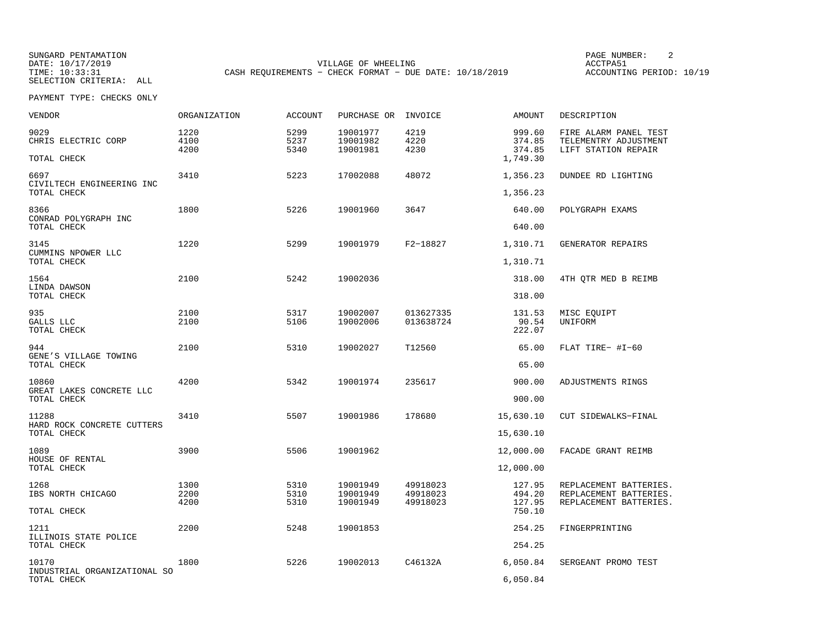SUNGARD PENTAMATION SUNGARD PENTAMATION SUNG PAGE NUMBER: 2 DATE: 10/17/2019 VILLAGE OF WHEELING ACCTPA51CASH REQUIREMENTS - CHECK FORMAT - DUE DATE: 10/18/2019

ACCOUNTING PERIOD: 10/19

| <b>VENDOR</b>                              | ORGANIZATION         | ACCOUNT              | PURCHASE OR INVOICE              |                                  | AMOUNT                                 | DESCRIPTION                                                                |
|--------------------------------------------|----------------------|----------------------|----------------------------------|----------------------------------|----------------------------------------|----------------------------------------------------------------------------|
| 9029<br>CHRIS ELECTRIC CORP<br>TOTAL CHECK | 1220<br>4100<br>4200 | 5299<br>5237<br>5340 | 19001977<br>19001982<br>19001981 | 4219<br>4220<br>4230             | 999.60<br>374.85<br>374.85<br>1,749.30 | FIRE ALARM PANEL TEST<br>TELEMENTRY ADJUSTMENT<br>LIFT STATION REPAIR      |
| 6697                                       | 3410                 | 5223                 | 17002088                         | 48072                            | 1,356.23                               | DUNDEE RD LIGHTING                                                         |
| CIVILTECH ENGINEERING INC<br>TOTAL CHECK   |                      |                      |                                  |                                  | 1,356.23                               |                                                                            |
| 8366<br>CONRAD POLYGRAPH INC               | 1800                 | 5226                 | 19001960                         | 3647                             | 640.00                                 | POLYGRAPH EXAMS                                                            |
| TOTAL CHECK                                |                      |                      |                                  |                                  | 640.00                                 |                                                                            |
| 3145<br>CUMMINS NPOWER LLC                 | 1220                 | 5299                 | 19001979                         | F2-18827                         | 1,310.71                               | GENERATOR REPAIRS                                                          |
| TOTAL CHECK                                |                      |                      |                                  |                                  | 1,310.71                               |                                                                            |
| 1564<br>LINDA DAWSON                       | 2100                 | 5242                 | 19002036                         |                                  | 318.00                                 | 4TH QTR MED B REIMB                                                        |
| TOTAL CHECK                                |                      |                      |                                  |                                  | 318.00                                 |                                                                            |
| 935<br>GALLS LLC<br>TOTAL CHECK            | 2100<br>2100         | 5317<br>5106         | 19002007<br>19002006             | 013627335<br>013638724           | 131.53<br>90.54<br>222.07              | MISC EOUIPT<br>UNIFORM                                                     |
| 944                                        | 2100                 | 5310                 | 19002027                         | T12560                           | 65.00                                  | FLAT TIRE- #I-60                                                           |
| GENE'S VILLAGE TOWING<br>TOTAL CHECK       |                      |                      |                                  |                                  | 65.00                                  |                                                                            |
| 10860                                      | 4200                 | 5342                 | 19001974                         | 235617                           | 900.00                                 | ADJUSTMENTS RINGS                                                          |
| GREAT LAKES CONCRETE LLC<br>TOTAL CHECK    |                      |                      |                                  |                                  | 900.00                                 |                                                                            |
| 11288                                      | 3410                 | 5507                 | 19001986                         | 178680                           | 15,630.10                              | CUT SIDEWALKS-FINAL                                                        |
| HARD ROCK CONCRETE CUTTERS<br>TOTAL CHECK  |                      |                      |                                  |                                  | 15,630.10                              |                                                                            |
| 1089                                       | 3900                 | 5506                 | 19001962                         |                                  | 12,000.00                              | FACADE GRANT REIMB                                                         |
| HOUSE OF RENTAL<br>TOTAL CHECK             |                      |                      |                                  |                                  | 12,000.00                              |                                                                            |
| 1268<br>IBS NORTH CHICAGO                  | 1300<br>2200<br>4200 | 5310<br>5310<br>5310 | 19001949<br>19001949<br>19001949 | 49918023<br>49918023<br>49918023 | 127.95<br>494.20<br>127.95             | REPLACEMENT BATTERIES.<br>REPLACEMENT BATTERIES.<br>REPLACEMENT BATTERIES. |
| TOTAL CHECK                                |                      |                      |                                  |                                  | 750.10                                 |                                                                            |
| 1211<br>ILLINOIS STATE POLICE              | 2200                 | 5248                 | 19001853                         |                                  | 254.25                                 | FINGERPRINTING                                                             |
| TOTAL CHECK                                |                      |                      |                                  |                                  | 254.25                                 |                                                                            |
| 10170<br>INDUSTRIAL ORGANIZATIONAL SO      | 1800                 | 5226                 | 19002013                         | C46132A                          | 6,050.84                               | SERGEANT PROMO TEST                                                        |
| TOTAL CHECK                                |                      |                      |                                  |                                  | 6,050.84                               |                                                                            |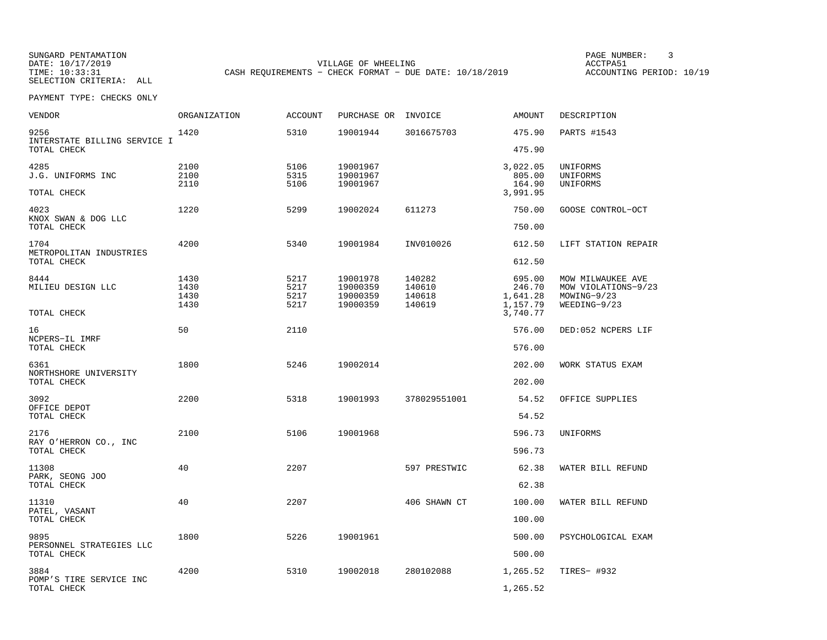SUNGARD PENTAMATION SUNGARD PENTAMATION SUNG PAGE NUMBER: 3 SUNGARD PENTAMATION SUNG PAGE NUMBER: 3 DATE: 10/17/2019 VILLAGE OF WHEELING ACCTPA51CASH REQUIREMENTS - CHECK FORMAT - DUE DATE: 10/18/2019

ACCOUNTING PERIOD: 10/19

| <b>VENDOR</b>                           | ORGANIZATION | <b>ACCOUNT</b> | PURCHASE OR INVOICE  |                  | AMOUNT             | DESCRIPTION                        |
|-----------------------------------------|--------------|----------------|----------------------|------------------|--------------------|------------------------------------|
| 9256<br>INTERSTATE BILLING SERVICE I    | 1420         | 5310           | 19001944             | 3016675703       | 475.90             | PARTS #1543                        |
| TOTAL CHECK                             |              |                |                      |                  | 475.90             |                                    |
| 4285<br>J.G. UNIFORMS INC               | 2100<br>2100 | 5106<br>5315   | 19001967<br>19001967 |                  | 3,022.05<br>805.00 | UNIFORMS<br>UNIFORMS               |
|                                         | 2110         | 5106           | 19001967             |                  | 164.90             | UNIFORMS                           |
| TOTAL CHECK                             |              |                |                      |                  | 3,991.95           |                                    |
| 4023<br>KNOX SWAN & DOG LLC             | 1220         | 5299           | 19002024             | 611273           | 750.00             | GOOSE CONTROL-OCT                  |
| TOTAL CHECK                             |              |                |                      |                  | 750.00             |                                    |
| 1704<br>METROPOLITAN INDUSTRIES         | 4200         | 5340           | 19001984             | INV010026        | 612.50             | LIFT STATION REPAIR                |
| TOTAL CHECK                             |              |                |                      |                  | 612.50             |                                    |
| 8444                                    | 1430         | 5217           | 19001978             | 140282           | 695.00             | MOW MILWAUKEE AVE                  |
| MILIEU DESIGN LLC                       | 1430<br>1430 | 5217<br>5217   | 19000359<br>19000359 | 140610<br>140618 | 246.70<br>1,641.28 | MOW VIOLATIONS-9/23<br>MOWING-9/23 |
|                                         | 1430         | 5217           | 19000359             | 140619           | 1,157.79           | $WEEDING-9/23$                     |
| TOTAL CHECK                             |              |                |                      |                  | 3,740.77           |                                    |
| 16                                      | 50           | 2110           |                      |                  | 576.00             | DED:052 NCPERS LIF                 |
| NCPERS-IL IMRF<br>TOTAL CHECK           |              |                |                      |                  | 576.00             |                                    |
| 6361                                    | 1800         | 5246           | 19002014             |                  | 202.00             | WORK STATUS EXAM                   |
| NORTHSHORE UNIVERSITY<br>TOTAL CHECK    |              |                |                      |                  | 202.00             |                                    |
|                                         |              |                |                      |                  |                    |                                    |
| 3092<br>OFFICE DEPOT                    | 2200         | 5318           | 19001993             | 378029551001     | 54.52              | OFFICE SUPPLIES                    |
| TOTAL CHECK                             |              |                |                      |                  | 54.52              |                                    |
| 2176<br>RAY O'HERRON CO., INC           | 2100         | 5106           | 19001968             |                  | 596.73             | UNIFORMS                           |
| TOTAL CHECK                             |              |                |                      |                  | 596.73             |                                    |
| 11308                                   | 40           | 2207           |                      | 597 PRESTWIC     | 62.38              | WATER BILL REFUND                  |
| PARK, SEONG JOO<br>TOTAL CHECK          |              |                |                      |                  | 62.38              |                                    |
| 11310                                   | 40           | 2207           |                      | 406 SHAWN CT     | 100.00             | WATER BILL REFUND                  |
| PATEL, VASANT<br>TOTAL CHECK            |              |                |                      |                  | 100.00             |                                    |
| 9895                                    | 1800         | 5226           | 19001961             |                  | 500.00             | PSYCHOLOGICAL EXAM                 |
| PERSONNEL STRATEGIES LLC<br>TOTAL CHECK |              |                |                      |                  | 500.00             |                                    |
| 3884                                    | 4200         | 5310           | 19002018             | 280102088        | 1,265.52           | TIRES- #932                        |
| POMP'S TIRE SERVICE INC<br>TOTAL CHECK  |              |                |                      |                  | 1,265.52           |                                    |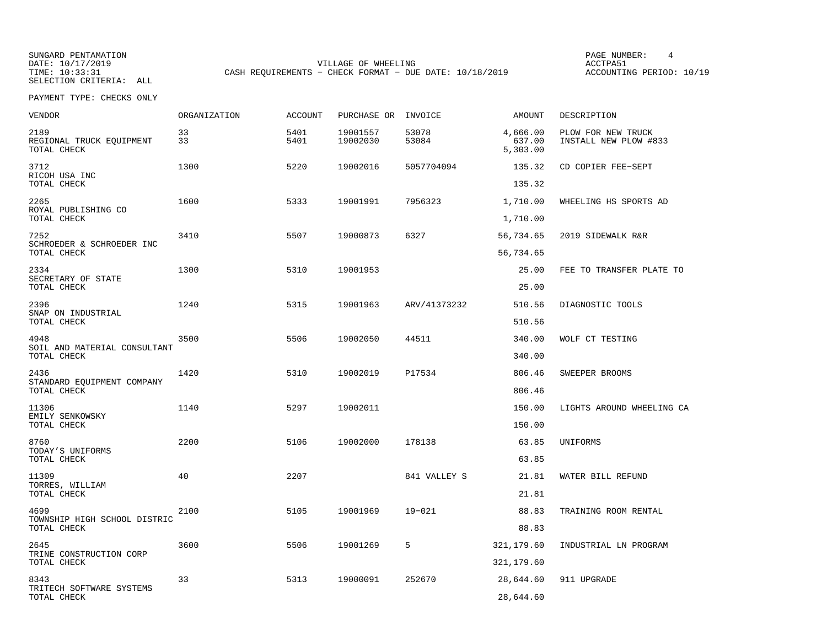SUNGARD PENTAMATION SUNGARD PENTAMATION SUNG PAGE NUMBER: 4 A PAGE NUMBER: 4 A PAGE NUMBER: 4 DATE: 10/17/2019 VILLAGE OF WHEELING ACCTPA51CASH REQUIREMENTS - CHECK FORMAT - DUE DATE: 10/18/2019

ACCOUNTING PERIOD: 10/19

| VENDOR                                          | ORGANIZATION | <b>ACCOUNT</b> | PURCHASE OR          | INVOICE        | AMOUNT                         | DESCRIPTION                                 |
|-------------------------------------------------|--------------|----------------|----------------------|----------------|--------------------------------|---------------------------------------------|
| 2189<br>REGIONAL TRUCK EQUIPMENT<br>TOTAL CHECK | 33<br>33     | 5401<br>5401   | 19001557<br>19002030 | 53078<br>53084 | 4,666.00<br>637.00<br>5,303.00 | PLOW FOR NEW TRUCK<br>INSTALL NEW PLOW #833 |
| 3712<br>RICOH USA INC                           | 1300         | 5220           | 19002016             | 5057704094     | 135.32                         | CD COPIER FEE-SEPT                          |
| TOTAL CHECK                                     |              |                |                      |                | 135.32                         |                                             |
| 2265<br>ROYAL PUBLISHING CO<br>TOTAL CHECK      | 1600         | 5333           | 19001991             | 7956323        | 1,710.00<br>1,710.00           | WHEELING HS SPORTS AD                       |
| 7252                                            | 3410         | 5507           | 19000873             | 6327           | 56,734.65                      | 2019 SIDEWALK R&R                           |
| SCHROEDER & SCHROEDER INC<br>TOTAL CHECK        |              |                |                      |                | 56,734.65                      |                                             |
| 2334                                            | 1300         | 5310           | 19001953             |                | 25.00                          | FEE TO TRANSFER PLATE TO                    |
| SECRETARY OF STATE<br>TOTAL CHECK               |              |                |                      |                | 25.00                          |                                             |
| 2396                                            | 1240         | 5315           | 19001963             | ARV/41373232   | 510.56                         | DIAGNOSTIC TOOLS                            |
| SNAP ON INDUSTRIAL<br>TOTAL CHECK               |              |                |                      |                | 510.56                         |                                             |
| 4948<br>SOIL AND MATERIAL CONSULTANT            | 3500         | 5506           | 19002050             | 44511          | 340.00                         | WOLF CT TESTING                             |
| TOTAL CHECK                                     |              |                |                      |                | 340.00                         |                                             |
| 2436                                            | 1420         | 5310           | 19002019             | P17534         | 806.46                         | SWEEPER BROOMS                              |
| STANDARD EQUIPMENT COMPANY<br>TOTAL CHECK       |              |                |                      |                | 806.46                         |                                             |
| 11306                                           | 1140         | 5297           | 19002011             |                | 150.00                         | LIGHTS AROUND WHEELING CA                   |
| EMILY SENKOWSKY<br>TOTAL CHECK                  |              |                |                      |                | 150.00                         |                                             |
| 8760<br>TODAY'S UNIFORMS                        | 2200         | 5106           | 19002000             | 178138         | 63.85                          | UNIFORMS                                    |
| TOTAL CHECK                                     |              |                |                      |                | 63.85                          |                                             |
| 11309                                           | 40           | 2207           |                      | 841 VALLEY S   | 21.81                          | WATER BILL REFUND                           |
| TORRES, WILLIAM<br>TOTAL CHECK                  |              |                |                      |                | 21.81                          |                                             |
| 4699                                            | 2100         | 5105           | 19001969             | $19 - 021$     | 88.83                          | TRAINING ROOM RENTAL                        |
| TOWNSHIP HIGH SCHOOL DISTRIC<br>TOTAL CHECK     |              |                |                      |                | 88.83                          |                                             |
| 2645                                            | 3600         | 5506           | 19001269             | 5              | 321,179.60                     | INDUSTRIAL LN PROGRAM                       |
| TRINE CONSTRUCTION CORP<br>TOTAL CHECK          |              |                |                      |                | 321,179.60                     |                                             |
| 8343<br>TRITECH SOFTWARE SYSTEMS                | 33           | 5313           | 19000091             | 252670         | 28,644.60                      | 911 UPGRADE                                 |
| TOTAL CHECK                                     |              |                |                      |                | 28,644.60                      |                                             |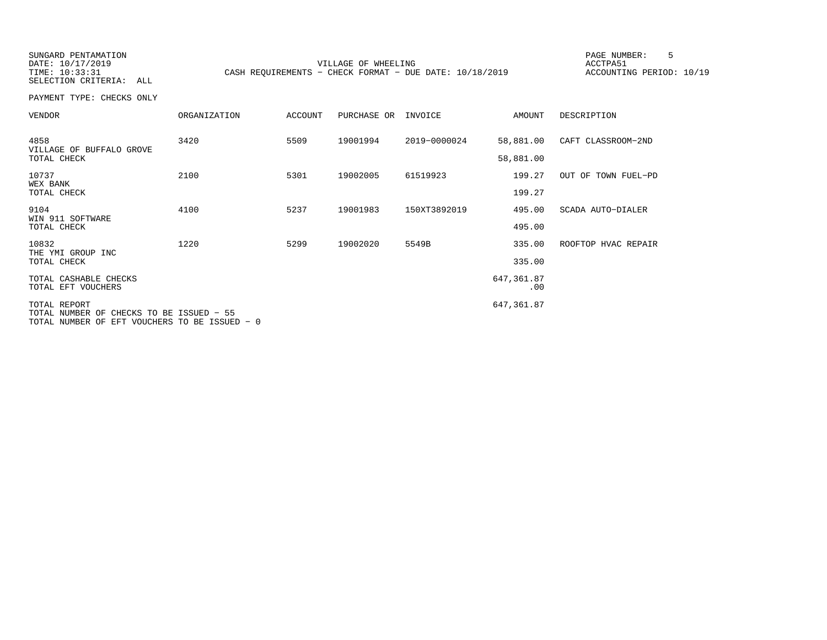TIME: 10:33:31 CASH REQUIREMENTS - CHECK FORMAT - DUE DATE: 10/18/2019

SUNGARD PENTAMATION SUNGARD PENTAMATION SUNG PAGE NUMBER: 5 SENSING PAGE NUMBER: 5 SENSING PAGE NUMBER: 5 SENSI VILLAGE OF WHEELING **ACCTPA51** 

ACCOUNTING PERIOD: 10/19

SELECTION CRITERIA: ALLPAYMENT TYPE: CHECKS ONLY

| <b>VENDOR</b>                                            | <b>ORGANIZATION</b> | <b>ACCOUNT</b> | PURCHASE OR | INVOICE      | AMOUNT                 | DESCRIPTION         |
|----------------------------------------------------------|---------------------|----------------|-------------|--------------|------------------------|---------------------|
| 4858<br>VILLAGE OF BUFFALO GROVE<br>TOTAL CHECK          | 3420                | 5509           | 19001994    | 2019-0000024 | 58,881.00<br>58,881.00 | CAFT CLASSROOM-2ND  |
| 10737<br>WEX BANK<br>TOTAL CHECK                         | 2100                | 5301           | 19002005    | 61519923     | 199.27<br>199.27       | OUT OF TOWN FUEL-PD |
| 9104<br>WIN 911 SOFTWARE<br>TOTAL CHECK                  | 4100                | 5237           | 19001983    | 150XT3892019 | 495.00<br>495.00       | SCADA AUTO-DIALER   |
| 10832<br>THE YMI GROUP INC<br>TOTAL CHECK                | 1220                | 5299           | 19002020    | 5549B        | 335.00<br>335.00       | ROOFTOP HVAC REPAIR |
| TOTAL CASHABLE CHECKS<br>TOTAL EFT VOUCHERS              |                     |                |             |              | 647,361.87<br>.00      |                     |
| TOTAL REPORT<br>TOTAL NUMBER OF CHECKS TO BE ISSUED - 55 |                     |                |             |              | 647,361.87             |                     |

TOTAL NUMBER OF EFT VOUCHERS TO BE ISSUED − 0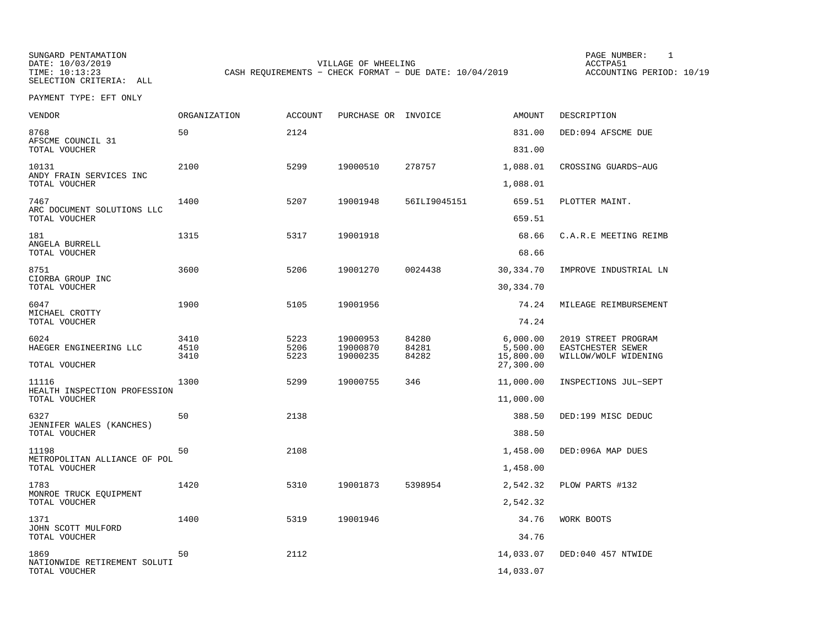SUNGARD PENTAMATION SUNGARD PENTAMATION SUNGARD PAGE NUMBER: 1 SUNGARD PAGE NUMBER: 1 DATE: 10/03/2019 VILLAGE OF WHEELING ACCTPA51CASH REQUIREMENTS - CHECK FORMAT - DUE DATE: 10/04/2019

ACCOUNTING PERIOD: 10/19

| VENDOR                                            | <b>ORGANIZATION</b> | <b>ACCOUNT</b> | PURCHASE OR          | INVOICE        | <b>AMOUNT</b>                      | DESCRIPTION                               |
|---------------------------------------------------|---------------------|----------------|----------------------|----------------|------------------------------------|-------------------------------------------|
| 8768<br>AFSCME COUNCIL 31                         | 50                  | 2124           |                      |                | 831.00<br>831.00                   | DED:094 AFSCME DUE                        |
| TOTAL VOUCHER                                     |                     |                |                      |                |                                    |                                           |
| 10131<br>ANDY FRAIN SERVICES INC<br>TOTAL VOUCHER | 2100                | 5299           | 19000510             | 278757         | 1,088.01<br>1,088.01               | CROSSING GUARDS-AUG                       |
| 7467                                              | 1400                | 5207           | 19001948             | 56ILI9045151   | 659.51                             | PLOTTER MAINT.                            |
| ARC DOCUMENT SOLUTIONS LLC<br>TOTAL VOUCHER       |                     |                |                      |                | 659.51                             |                                           |
| 181                                               | 1315                | 5317           | 19001918             |                | 68.66                              | C.A.R.E MEETING REIMB                     |
| ANGELA BURRELL<br>TOTAL VOUCHER                   |                     |                |                      |                | 68.66                              |                                           |
| 8751                                              | 3600                | 5206           | 19001270             | 0024438        | 30,334.70                          | IMPROVE INDUSTRIAL LN                     |
| CIORBA GROUP INC<br>TOTAL VOUCHER                 |                     |                |                      |                | 30,334.70                          |                                           |
| 6047                                              | 1900                | 5105           | 19001956             |                | 74.24                              | MILEAGE REIMBURSEMENT                     |
| MICHAEL CROTTY<br>TOTAL VOUCHER                   |                     |                |                      |                | 74.24                              |                                           |
| 6024                                              | 3410                | 5223           | 19000953             | 84280          | 6,000.00                           | 2019 STREET PROGRAM                       |
| HAEGER ENGINEERING LLC<br>TOTAL VOUCHER           | 4510<br>3410        | 5206<br>5223   | 19000870<br>19000235 | 84281<br>84282 | 5,500.00<br>15,800.00<br>27,300.00 | EASTCHESTER SEWER<br>WILLOW/WOLF WIDENING |
| 11116                                             | 1300                | 5299           | 19000755             | 346            | 11,000.00                          | INSPECTIONS JUL-SEPT                      |
| HEALTH INSPECTION PROFESSION<br>TOTAL VOUCHER     |                     |                |                      |                | 11,000.00                          |                                           |
| 6327                                              | 50                  | 2138           |                      |                | 388.50                             | DED:199 MISC DEDUC                        |
| JENNIFER WALES (KANCHES)<br>TOTAL VOUCHER         |                     |                |                      |                | 388.50                             |                                           |
| 11198                                             | 50                  | 2108           |                      |                | 1,458.00                           | DED:096A MAP DUES                         |
| METROPOLITAN ALLIANCE OF POL<br>TOTAL VOUCHER     |                     |                |                      |                | 1,458.00                           |                                           |
| 1783                                              | 1420                | 5310           | 19001873             | 5398954        | 2,542.32                           | PLOW PARTS #132                           |
| MONROE TRUCK EOUIPMENT<br>TOTAL VOUCHER           |                     |                |                      |                | 2,542.32                           |                                           |
| 1371                                              | 1400                | 5319           | 19001946             |                | 34.76                              | WORK BOOTS                                |
| JOHN SCOTT MULFORD<br>TOTAL VOUCHER               |                     |                |                      |                | 34.76                              |                                           |
| 1869                                              | 50                  | 2112           |                      |                | 14,033.07                          | DED:040 457 NTWIDE                        |
| NATIONWIDE RETIREMENT SOLUTI<br>TOTAL VOUCHER     |                     |                |                      |                | 14,033.07                          |                                           |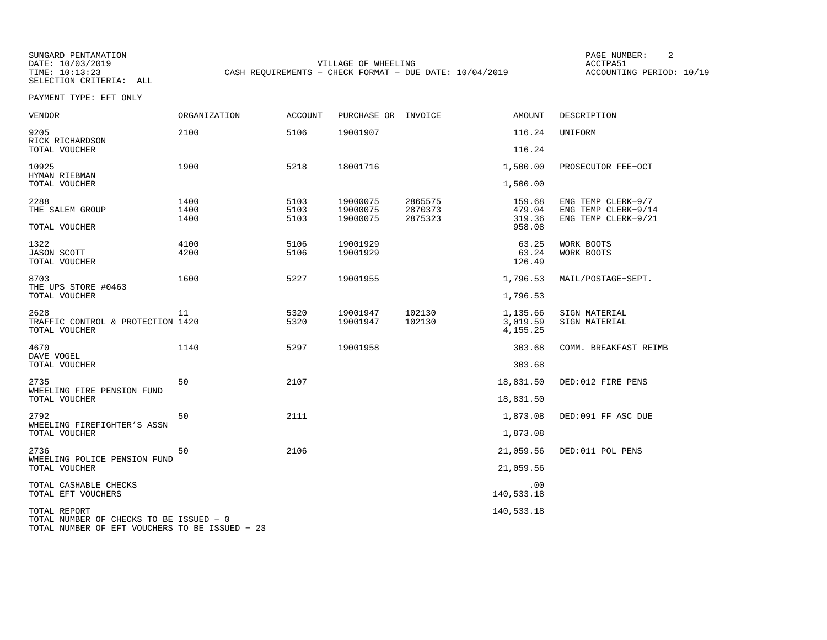SUNGARD PENTAMATION PAGE NUMBER: 2VILLAGE OF WHEELING **ACCTPA51** TIME: 10:13:23 CASH REQUIREMENTS - CHECK FORMAT - DUE DATE: 10/04/2019

ACCOUNTING PERIOD: 10/19

| VENDOR                                                                                                    | ORGANIZATION         | <b>ACCOUNT</b>       | PURCHASE OR INVOICE              |                               | AMOUNT                                           | DESCRIPTION                                                      |
|-----------------------------------------------------------------------------------------------------------|----------------------|----------------------|----------------------------------|-------------------------------|--------------------------------------------------|------------------------------------------------------------------|
| 9205<br>RICK RICHARDSON<br>TOTAL VOUCHER                                                                  | 2100                 | 5106                 | 19001907                         |                               | 116.24<br>116.24                                 | UNIFORM                                                          |
| 10925<br>HYMAN RIEBMAN                                                                                    | 1900                 | 5218                 | 18001716                         |                               | 1,500.00                                         | PROSECUTOR FEE-OCT                                               |
| TOTAL VOUCHER<br>2288<br>THE SALEM GROUP<br>TOTAL VOUCHER                                                 | 1400<br>1400<br>1400 | 5103<br>5103<br>5103 | 19000075<br>19000075<br>19000075 | 2865575<br>2870373<br>2875323 | 1,500.00<br>159.68<br>479.04<br>319.36<br>958.08 | ENG TEMP CLERK-9/7<br>ENG TEMP CLERK-9/14<br>ENG TEMP CLERK-9/21 |
| 1322<br><b>JASON SCOTT</b><br>TOTAL VOUCHER                                                               | 4100<br>4200         | 5106<br>5106         | 19001929<br>19001929             |                               | 63.25<br>63.24<br>126.49                         | WORK BOOTS<br>WORK BOOTS                                         |
| 8703<br>THE UPS STORE #0463<br>TOTAL VOUCHER                                                              | 1600                 | 5227                 | 19001955                         |                               | 1,796.53<br>1,796.53                             | MAIL/POSTAGE-SEPT.                                               |
| 2628<br>TRAFFIC CONTROL & PROTECTION 1420<br>TOTAL VOUCHER                                                | 11                   | 5320<br>5320         | 19001947<br>19001947             | 102130<br>102130              | 1,135.66<br>3,019.59<br>4, 155. 25               | SIGN MATERIAL<br>SIGN MATERIAL                                   |
| 4670<br>DAVE VOGEL<br>TOTAL VOUCHER                                                                       | 1140                 | 5297                 | 19001958                         |                               | 303.68<br>303.68                                 | COMM. BREAKFAST REIMB                                            |
| 2735<br>WHEELING FIRE PENSION FUND<br>TOTAL VOUCHER                                                       | 50                   | 2107                 |                                  |                               | 18,831.50<br>18,831.50                           | DED:012 FIRE PENS                                                |
| 2792<br>WHEELING FIREFIGHTER'S ASSN<br>TOTAL VOUCHER                                                      | 50                   | 2111                 |                                  |                               | 1,873.08<br>1,873.08                             | DED:091 FF ASC DUE                                               |
| 2736<br>WHEELING POLICE PENSION FUND<br>TOTAL VOUCHER                                                     | 50                   | 2106                 |                                  |                               | 21,059.56<br>21,059.56                           | DED:011 POL PENS                                                 |
| TOTAL CASHABLE CHECKS<br>TOTAL EFT VOUCHERS                                                               |                      |                      |                                  |                               | .00<br>140,533.18                                |                                                                  |
| TOTAL REPORT<br>TOTAL NUMBER OF CHECKS TO BE ISSUED - 0<br>TOTAL NUMBER OF EFT VOUCHERS TO BE ISSUED - 23 |                      |                      |                                  |                               | 140,533.18                                       |                                                                  |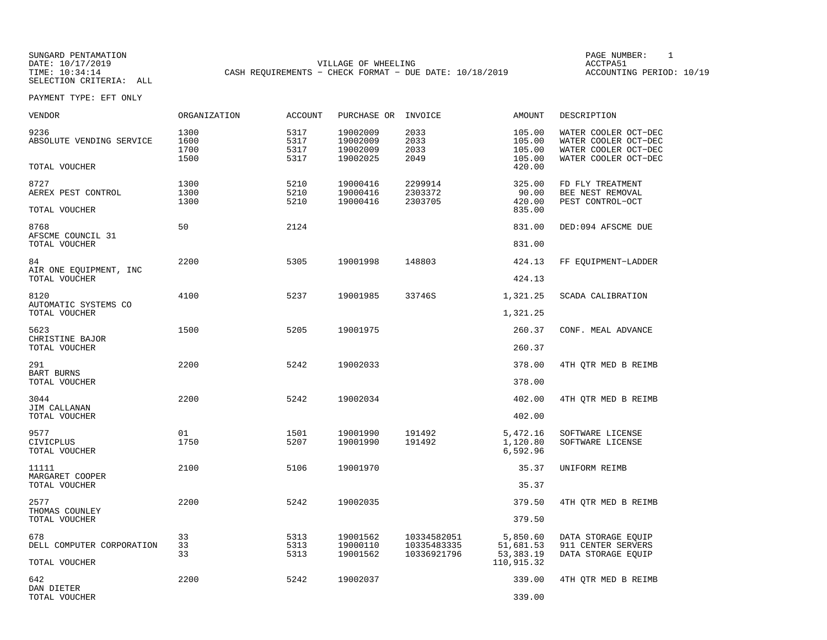SUNGARD PENTAMATION SUNGARD PENTAMATION SUNGARD PAGE NUMBER: 1 SUNGARD PAGE NUMBER: 1 DATE: 10/17/2019 VILLAGE OF WHEELING ACCTPA51CASH REQUIREMENTS - CHECK FORMAT - DUE DATE: 10/18/2019

ACCOUNTING PERIOD: 10/19

| VENDOR                                      | ORGANIZATION                 | <b>ACCOUNT</b>               | PURCHASE OR                                  | INVOICE                       | <b>AMOUNT</b>                        | DESCRIPTION                                                                                  |
|---------------------------------------------|------------------------------|------------------------------|----------------------------------------------|-------------------------------|--------------------------------------|----------------------------------------------------------------------------------------------|
| 9236<br>ABSOLUTE VENDING SERVICE            | 1300<br>1600<br>1700<br>1500 | 5317<br>5317<br>5317<br>5317 | 19002009<br>19002009<br>19002009<br>19002025 | 2033<br>2033<br>2033<br>2049  | 105.00<br>105.00<br>105.00<br>105.00 | WATER COOLER OCT-DEC<br>WATER COOLER OCT-DEC<br>WATER COOLER OCT-DEC<br>WATER COOLER OCT-DEC |
| TOTAL VOUCHER                               |                              |                              |                                              |                               | 420.00                               |                                                                                              |
| 8727<br>AEREX PEST CONTROL<br>TOTAL VOUCHER | 1300<br>1300<br>1300         | 5210<br>5210<br>5210         | 19000416<br>19000416<br>19000416             | 2299914<br>2303372<br>2303705 | 325.00<br>90.00<br>420.00<br>835.00  | FD FLY TREATMENT<br>BEE NEST REMOVAL<br>PEST CONTROL-OCT                                     |
| 8768                                        | 50                           | 2124                         |                                              |                               | 831.00                               | DED:094 AFSCME DUE                                                                           |
| AFSCME COUNCIL 31<br>TOTAL VOUCHER          |                              |                              |                                              |                               | 831.00                               |                                                                                              |
| 84<br>AIR ONE EQUIPMENT, INC                | 2200                         | 5305                         | 19001998                                     | 148803                        | 424.13                               | FF EQUIPMENT-LADDER                                                                          |
| TOTAL VOUCHER                               |                              |                              |                                              |                               | 424.13                               |                                                                                              |
| 8120<br>AUTOMATIC SYSTEMS CO                | 4100                         | 5237                         | 19001985                                     | 33746S                        | 1,321.25                             | SCADA CALIBRATION                                                                            |
| TOTAL VOUCHER                               |                              |                              |                                              |                               | 1,321.25                             |                                                                                              |
| 5623<br>CHRISTINE BAJOR                     | 1500                         | 5205                         | 19001975                                     |                               | 260.37                               | CONF. MEAL ADVANCE                                                                           |
| TOTAL VOUCHER                               |                              |                              |                                              |                               | 260.37                               |                                                                                              |
| 291<br><b>BART BURNS</b>                    | 2200                         | 5242                         | 19002033                                     |                               | 378.00                               | 4TH OTR MED B REIMB                                                                          |
| TOTAL VOUCHER                               |                              |                              |                                              |                               | 378.00                               |                                                                                              |
| 3044<br>JIM CALLANAN<br>TOTAL VOUCHER       | 2200                         | 5242                         | 19002034                                     |                               | 402.00<br>402.00                     | 4TH QTR MED B REIMB                                                                          |
|                                             |                              |                              |                                              |                               |                                      |                                                                                              |
| 9577<br>CIVICPLUS<br>TOTAL VOUCHER          | 01<br>1750                   | 1501<br>5207                 | 19001990<br>19001990                         | 191492<br>191492              | 5,472.16<br>1,120.80<br>6,592.96     | SOFTWARE LICENSE<br>SOFTWARE LICENSE                                                         |
| 11111                                       | 2100                         | 5106                         | 19001970                                     |                               | 35.37                                | UNIFORM REIMB                                                                                |
| MARGARET COOPER<br>TOTAL VOUCHER            |                              |                              |                                              |                               | 35.37                                |                                                                                              |
| 2577<br>THOMAS COUNLEY                      | 2200                         | 5242                         | 19002035                                     |                               | 379.50                               | 4TH OTR MED B REIMB                                                                          |
| TOTAL VOUCHER                               |                              |                              |                                              |                               | 379.50                               |                                                                                              |
| 678<br>DELL COMPUTER CORPORATION            | 33<br>33                     | 5313<br>5313                 | 19001562<br>19000110                         | 10334582051<br>10335483335    | 5,850.60<br>51,681.53                | DATA STORAGE EQUIP<br>911 CENTER SERVERS                                                     |
| TOTAL VOUCHER                               | 33                           | 5313                         | 19001562                                     | 10336921796                   | 53, 383. 19<br>110,915.32            | DATA STORAGE EQUIP                                                                           |
| 642                                         | 2200                         | 5242                         | 19002037                                     |                               | 339.00                               | 4TH OTR MED B REIMB                                                                          |
| DAN DIETER<br>TOTAL VOUCHER                 |                              |                              |                                              |                               | 339.00                               |                                                                                              |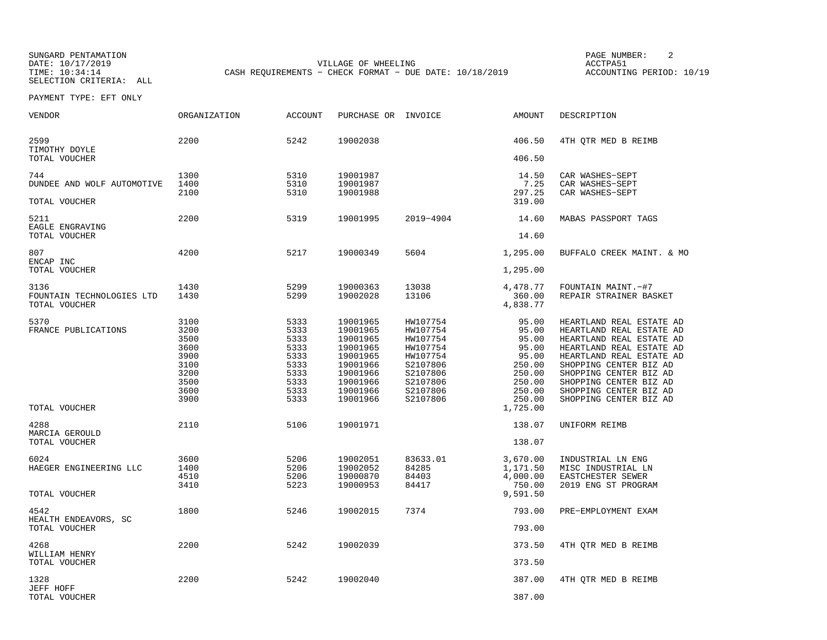SUNGARD PENTAMATION SUNGARD PENTAMATION SUNGARD PAGE NUMBER: 2 DATE: 10/17/2019 VILLAGE OF WHEELING ACCTPA51CASH REQUIREMENTS - CHECK FORMAT - DUE DATE: 10/18/2019

ACCOUNTING PERIOD: 10/19

| VENDOR                                               | ORGANIZATION                                                                         | <b>ACCOUNT</b>                                                                       | PURCHASE OR INVOICE                                                                                                              |                                                                                                                      | AMOUNT                                                                                                            | DESCRIPTION                                                                                                                                                                                                                                                                                 |
|------------------------------------------------------|--------------------------------------------------------------------------------------|--------------------------------------------------------------------------------------|----------------------------------------------------------------------------------------------------------------------------------|----------------------------------------------------------------------------------------------------------------------|-------------------------------------------------------------------------------------------------------------------|---------------------------------------------------------------------------------------------------------------------------------------------------------------------------------------------------------------------------------------------------------------------------------------------|
| 2599<br>TIMOTHY DOYLE                                | 2200                                                                                 | 5242                                                                                 | 19002038                                                                                                                         |                                                                                                                      | 406.50                                                                                                            | 4TH QTR MED B REIMB                                                                                                                                                                                                                                                                         |
| TOTAL VOUCHER                                        |                                                                                      |                                                                                      |                                                                                                                                  |                                                                                                                      | 406.50                                                                                                            |                                                                                                                                                                                                                                                                                             |
| 744<br>DUNDEE AND WOLF AUTOMOTIVE                    | 1300<br>1400<br>2100                                                                 | 5310<br>5310<br>5310                                                                 | 19001987<br>19001987<br>19001988                                                                                                 |                                                                                                                      | 14.50<br>7.25<br>297.25                                                                                           | CAR WASHES-SEPT<br>CAR WASHES-SEPT<br>CAR WASHES-SEPT                                                                                                                                                                                                                                       |
| TOTAL VOUCHER                                        |                                                                                      |                                                                                      |                                                                                                                                  |                                                                                                                      | 319.00                                                                                                            |                                                                                                                                                                                                                                                                                             |
| 5211<br>EAGLE ENGRAVING                              | 2200                                                                                 | 5319                                                                                 | 19001995                                                                                                                         | 2019-4904                                                                                                            | 14.60                                                                                                             | MABAS PASSPORT TAGS                                                                                                                                                                                                                                                                         |
| TOTAL VOUCHER                                        |                                                                                      |                                                                                      |                                                                                                                                  |                                                                                                                      | 14.60                                                                                                             |                                                                                                                                                                                                                                                                                             |
| 807<br>ENCAP INC                                     | 4200                                                                                 | 5217                                                                                 | 19000349                                                                                                                         | 5604                                                                                                                 | 1,295.00                                                                                                          | BUFFALO CREEK MAINT. & MO                                                                                                                                                                                                                                                                   |
| TOTAL VOUCHER                                        |                                                                                      |                                                                                      |                                                                                                                                  |                                                                                                                      | 1,295.00                                                                                                          |                                                                                                                                                                                                                                                                                             |
| 3136<br>FOUNTAIN TECHNOLOGIES LTD<br>TOTAL VOUCHER   | 1430<br>1430                                                                         | 5299<br>5299                                                                         | 19000363<br>19002028                                                                                                             | 13038<br>13106                                                                                                       | 4,478.77<br>360.00<br>4,838.77                                                                                    | FOUNTAIN MAINT. - #7<br>REPAIR STRAINER BASKET                                                                                                                                                                                                                                              |
|                                                      |                                                                                      |                                                                                      |                                                                                                                                  |                                                                                                                      |                                                                                                                   |                                                                                                                                                                                                                                                                                             |
| 5370<br>FRANCE PUBLICATIONS<br>TOTAL VOUCHER<br>4288 | 3100<br>3200<br>3500<br>3600<br>3900<br>3100<br>3200<br>3500<br>3600<br>3900<br>2110 | 5333<br>5333<br>5333<br>5333<br>5333<br>5333<br>5333<br>5333<br>5333<br>5333<br>5106 | 19001965<br>19001965<br>19001965<br>19001965<br>19001965<br>19001966<br>19001966<br>19001966<br>19001966<br>19001966<br>19001971 | HW107754<br>HW107754<br>HW107754<br>HW107754<br>HW107754<br>S2107806<br>S2107806<br>S2107806<br>S2107806<br>S2107806 | 95.00<br>95.00<br>95.00<br>95.00<br>95.00<br>250.00<br>250.00<br>250.00<br>250.00<br>250.00<br>1,725.00<br>138.07 | HEARTLAND REAL ESTATE AD<br>HEARTLAND REAL ESTATE AD<br>HEARTLAND REAL ESTATE AD<br>HEARTLAND REAL ESTATE AD<br>HEARTLAND REAL ESTATE AD<br>SHOPPING CENTER BIZ AD<br>SHOPPING CENTER BIZ AD<br>SHOPPING CENTER BIZ AD<br>SHOPPING CENTER BIZ AD<br>SHOPPING CENTER BIZ AD<br>UNIFORM REIMB |
| MARCIA GEROULD<br>TOTAL VOUCHER                      |                                                                                      |                                                                                      |                                                                                                                                  |                                                                                                                      | 138.07                                                                                                            |                                                                                                                                                                                                                                                                                             |
| 6024<br>HAEGER ENGINEERING LLC                       | 3600<br>1400<br>4510<br>3410                                                         | 5206<br>5206<br>5206<br>5223                                                         | 19002051<br>19002052<br>19000870<br>19000953                                                                                     | 83633.01<br>84285<br>84403<br>84417                                                                                  | 3,670.00<br>1,171.50<br>4,000.00<br>750.00                                                                        | INDUSTRIAL LN ENG<br>MISC INDUSTRIAL LN<br>EASTCHESTER SEWER<br>2019 ENG ST PROGRAM                                                                                                                                                                                                         |
| TOTAL VOUCHER                                        |                                                                                      |                                                                                      |                                                                                                                                  |                                                                                                                      | 9,591.50                                                                                                          |                                                                                                                                                                                                                                                                                             |
| 4542<br>HEALTH ENDEAVORS, SC                         | 1800                                                                                 | 5246                                                                                 | 19002015                                                                                                                         | 7374                                                                                                                 | 793.00                                                                                                            | PRE-EMPLOYMENT EXAM                                                                                                                                                                                                                                                                         |
| TOTAL VOUCHER                                        |                                                                                      |                                                                                      |                                                                                                                                  |                                                                                                                      | 793.00                                                                                                            |                                                                                                                                                                                                                                                                                             |
| 4268<br>WILLIAM HENRY                                | 2200                                                                                 | 5242                                                                                 | 19002039                                                                                                                         |                                                                                                                      | 373.50                                                                                                            | 4TH QTR MED B REIMB                                                                                                                                                                                                                                                                         |
| TOTAL VOUCHER                                        |                                                                                      |                                                                                      |                                                                                                                                  |                                                                                                                      | 373.50                                                                                                            |                                                                                                                                                                                                                                                                                             |
| 1328<br>JEFF HOFF                                    | 2200                                                                                 | 5242                                                                                 | 19002040                                                                                                                         |                                                                                                                      | 387.00                                                                                                            | 4TH QTR MED B REIMB                                                                                                                                                                                                                                                                         |
| TOTAL VOUCHER                                        |                                                                                      |                                                                                      |                                                                                                                                  |                                                                                                                      | 387.00                                                                                                            |                                                                                                                                                                                                                                                                                             |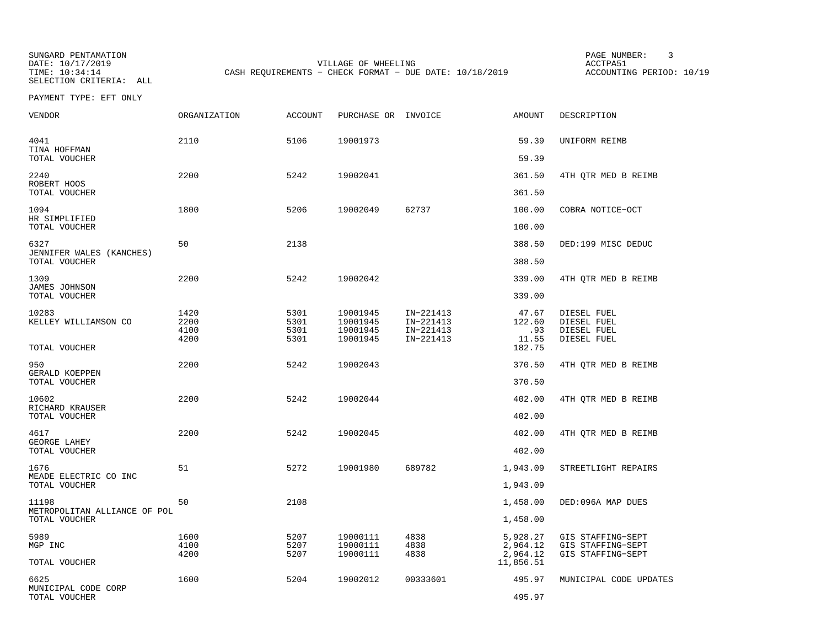SUNGARD PENTAMATION SUNGARD PENTAMATION SUNGARD PAGE NUMBER: 3 SELECTION CRITERIA: ALL

DATE: 10/17/2019 VILLAGE OF WHEELING ACCTPA51CASH REQUIREMENTS - CHECK FORMAT - DUE DATE: 10/18/2019

ACCOUNTING PERIOD: 10/19

| VENDOR                                    | <b>ORGANIZATION</b>          | <b>ACCOUNT</b>               | PURCHASE OR INVOICE                          |                                                  | AMOUNT                                        | DESCRIPTION                                                 |
|-------------------------------------------|------------------------------|------------------------------|----------------------------------------------|--------------------------------------------------|-----------------------------------------------|-------------------------------------------------------------|
| 4041<br>TINA HOFFMAN<br>TOTAL VOUCHER     | 2110                         | 5106                         | 19001973                                     |                                                  | 59.39<br>59.39                                | UNIFORM REIMB                                               |
| 2240<br>ROBERT HOOS                       | 2200                         | 5242                         | 19002041                                     |                                                  | 361.50                                        | 4TH QTR MED B REIMB                                         |
| TOTAL VOUCHER                             |                              |                              |                                              |                                                  | 361.50                                        |                                                             |
| 1094<br>HR SIMPLIFIED<br>TOTAL VOUCHER    | 1800                         | 5206                         | 19002049                                     | 62737                                            | 100.00<br>100.00                              | COBRA NOTICE-OCT                                            |
| 6327<br>JENNIFER WALES (KANCHES)          | 50                           | 2138                         |                                              |                                                  | 388.50                                        | DED:199 MISC DEDUC                                          |
| TOTAL VOUCHER                             |                              |                              |                                              |                                                  | 388.50                                        |                                                             |
| 1309<br>JAMES JOHNSON<br>TOTAL VOUCHER    | 2200                         | 5242                         | 19002042                                     |                                                  | 339.00<br>339.00                              | 4TH QTR MED B REIMB                                         |
| 10283<br>KELLEY WILLIAMSON CO             | 1420<br>2200<br>4100<br>4200 | 5301<br>5301<br>5301<br>5301 | 19001945<br>19001945<br>19001945<br>19001945 | IN-221413<br>IN-221413<br>IN-221413<br>IN-221413 | 47.67<br>122.60<br>.93<br>11.55<br>182.75     | DIESEL FUEL<br>DIESEL FUEL<br>DIESEL FUEL<br>DIESEL FUEL    |
| TOTAL VOUCHER                             |                              |                              |                                              |                                                  |                                               |                                                             |
| 950<br>GERALD KOEPPEN<br>TOTAL VOUCHER    | 2200                         | 5242                         | 19002043                                     |                                                  | 370.50<br>370.50                              | 4TH OTR MED B REIMB                                         |
| 10602<br>RICHARD KRAUSER<br>TOTAL VOUCHER | 2200                         | 5242                         | 19002044                                     |                                                  | 402.00<br>402.00                              | 4TH QTR MED B REIMB                                         |
| 4617<br>GEORGE LAHEY<br>TOTAL VOUCHER     | 2200                         | 5242                         | 19002045                                     |                                                  | 402.00<br>402.00                              | 4TH QTR MED B REIMB                                         |
| 1676                                      | 51                           | 5272                         | 19001980                                     | 689782                                           | 1,943.09                                      | STREETLIGHT REPAIRS                                         |
| MEADE ELECTRIC CO INC<br>TOTAL VOUCHER    |                              |                              |                                              |                                                  | 1,943.09                                      |                                                             |
| 11198<br>METROPOLITAN ALLIANCE OF POL     | 50                           | 2108                         |                                              |                                                  | 1,458.00                                      | DED:096A MAP DUES                                           |
| TOTAL VOUCHER                             |                              |                              |                                              |                                                  | 1,458.00                                      |                                                             |
| 5989<br>MGP INC<br>TOTAL VOUCHER          | 1600<br>4100<br>4200         | 5207<br>5207<br>5207         | 19000111<br>19000111<br>19000111             | 4838<br>4838<br>4838                             | 5,928.27<br>2,964.12<br>2,964.12<br>11,856.51 | GIS STAFFING-SEPT<br>GIS STAFFING-SEPT<br>GIS STAFFING-SEPT |
| 6625<br>MUNICIPAL CODE CORP               | 1600                         | 5204                         | 19002012                                     | 00333601                                         | 495.97                                        | MUNICIPAL CODE UPDATES                                      |
| TOTAL VOUCHER                             |                              |                              |                                              |                                                  | 495.97                                        |                                                             |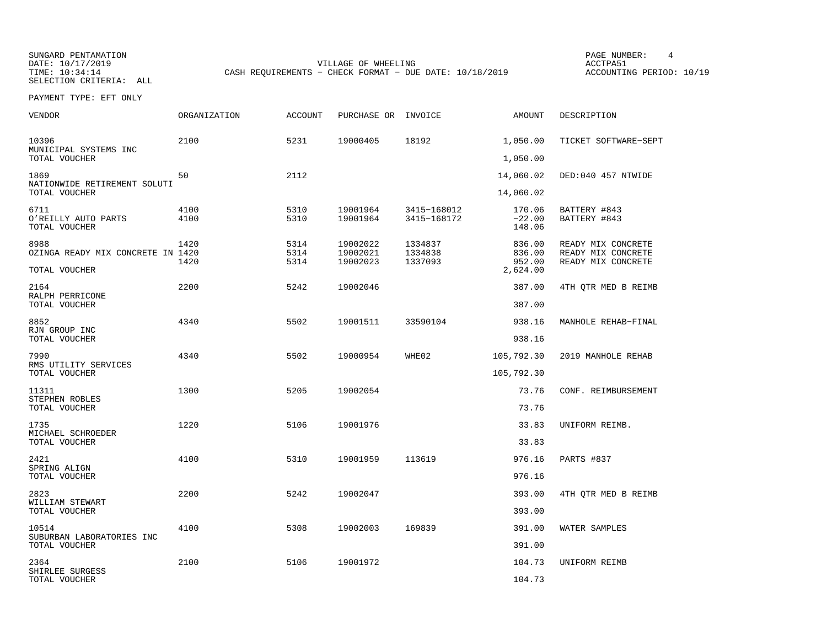SUNGARD PENTAMATION SUNGARD PENTAMATION SUNGARD PAGE NUMBER: 4  $\overline{A}$  page is the page of the page  $\overline{A}$  page  $\overline{A}$  page  $\overline{A}$  page  $\overline{A}$  page  $\overline{A}$  page  $\overline{A}$  page  $\overline{A}$  page  $\overline{A}$  page  $\overline{A}$ 

DATE: 10/17/2019 VILLAGE OF WHEELING ACCTPA51CASH REQUIREMENTS - CHECK FORMAT - DUE DATE: 10/18/2019

ACCOUNTING PERIOD: 10/19

SELECTION CRITERIA: ALLPAYMENT TYPE: EFT ONLY

| <b>VENDOR</b>                                              | <b>ORGANIZATION</b> | <b>ACCOUNT</b>       | PURCHASE OR                      | INVOICE                       | AMOUNT                                 | DESCRIPTION                                                    |
|------------------------------------------------------------|---------------------|----------------------|----------------------------------|-------------------------------|----------------------------------------|----------------------------------------------------------------|
| 10396                                                      | 2100                | 5231                 | 19000405                         | 18192                         | 1,050.00                               | TICKET SOFTWARE-SEPT                                           |
| MUNICIPAL SYSTEMS INC<br>TOTAL VOUCHER                     |                     |                      |                                  |                               | 1,050.00                               |                                                                |
| 1869<br>NATIONWIDE RETIREMENT SOLUTI                       | 50                  | 2112                 |                                  |                               | 14,060.02                              | DED:040 457 NTWIDE                                             |
| TOTAL VOUCHER                                              |                     |                      |                                  |                               | 14,060.02                              |                                                                |
| 6711<br>O'REILLY AUTO PARTS<br>TOTAL VOUCHER               | 4100<br>4100        | 5310<br>5310         | 19001964<br>19001964             | 3415-168012<br>3415-168172    | 170.06<br>$-22.00$<br>148.06           | BATTERY #843<br>BATTERY #843                                   |
| 8988<br>OZINGA READY MIX CONCRETE IN 1420<br>TOTAL VOUCHER | 1420<br>1420        | 5314<br>5314<br>5314 | 19002022<br>19002021<br>19002023 | 1334837<br>1334838<br>1337093 | 836.00<br>836.00<br>952.00<br>2,624.00 | READY MIX CONCRETE<br>READY MIX CONCRETE<br>READY MIX CONCRETE |
| 2164                                                       | 2200                | 5242                 | 19002046                         |                               | 387.00                                 | 4TH QTR MED B REIMB                                            |
| RALPH PERRICONE<br>TOTAL VOUCHER                           |                     |                      |                                  |                               | 387.00                                 |                                                                |
| 8852                                                       | 4340                | 5502                 | 19001511                         | 33590104                      | 938.16                                 | MANHOLE REHAB-FINAL                                            |
| RJN GROUP INC<br>TOTAL VOUCHER                             |                     |                      |                                  |                               | 938.16                                 |                                                                |
| 7990                                                       | 4340                | 5502                 | 19000954                         | WHE02                         | 105,792.30                             | 2019 MANHOLE REHAB                                             |
| RMS UTILITY SERVICES<br>TOTAL VOUCHER                      |                     |                      |                                  |                               | 105,792.30                             |                                                                |
| 11311                                                      | 1300                | 5205                 | 19002054                         |                               | 73.76                                  | CONF. REIMBURSEMENT                                            |
| STEPHEN ROBLES<br>TOTAL VOUCHER                            |                     |                      |                                  |                               | 73.76                                  |                                                                |
| 1735                                                       | 1220                | 5106                 | 19001976                         |                               | 33.83                                  | UNIFORM REIMB.                                                 |
| MICHAEL SCHROEDER<br>TOTAL VOUCHER                         |                     |                      |                                  |                               | 33.83                                  |                                                                |
| 2421                                                       | 4100                | 5310                 | 19001959                         | 113619                        | 976.16                                 | PARTS #837                                                     |
| SPRING ALIGN<br>TOTAL VOUCHER                              |                     |                      |                                  |                               | 976.16                                 |                                                                |
| 2823<br>WILLIAM STEWART<br>TOTAL VOUCHER                   | 2200                | 5242                 | 19002047                         |                               | 393.00<br>393.00                       | 4TH QTR MED B REIMB                                            |
| 10514                                                      | 4100                | 5308                 | 19002003                         | 169839                        | 391.00                                 | WATER SAMPLES                                                  |
| SUBURBAN LABORATORIES INC<br>TOTAL VOUCHER                 |                     |                      |                                  |                               | 391.00                                 |                                                                |
| 2364                                                       | 2100                | 5106                 | 19001972                         |                               | 104.73                                 | UNIFORM REIMB                                                  |
| SHIRLEE SURGESS<br>TOTAL VOUCHER                           |                     |                      |                                  |                               | 104.73                                 |                                                                |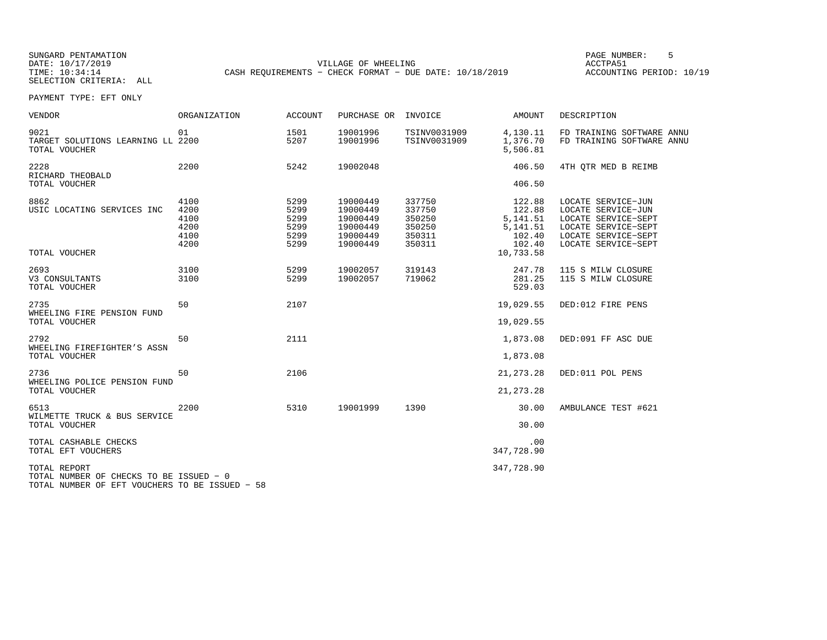SUNGARD PENTAMATION PAGE NUMBER: 5DATE: 10/17/2019 VILLAGE OF WHEELING ACCTPA51CASH REQUIREMENTS - CHECK FORMAT - DUE DATE: 10/18/2019

ACCOUNTING PERIOD: 10/19

| <b>VENDOR</b>                                                                                             | ORGANIZATION                                 | <b>ACCOUNT</b>                               | PURCHASE OR                                                          | INVOICE                                                  | AMOUNT                                                         | DESCRIPTION                                                                                                                          |
|-----------------------------------------------------------------------------------------------------------|----------------------------------------------|----------------------------------------------|----------------------------------------------------------------------|----------------------------------------------------------|----------------------------------------------------------------|--------------------------------------------------------------------------------------------------------------------------------------|
| 9021<br>TARGET SOLUTIONS LEARNING LL 2200<br>TOTAL VOUCHER                                                | 01                                           | 1501<br>5207                                 | 19001996<br>19001996                                                 | TSINV0031909<br>TSINV0031909                             | 4,130.11<br>1,376.70<br>5,506.81                               | FD TRAINING SOFTWARE ANNU<br>FD TRAINING SOFTWARE ANNU                                                                               |
| 2228<br>RICHARD THEOBALD                                                                                  | 2200                                         | 5242                                         | 19002048                                                             |                                                          | 406.50                                                         | 4TH OTR MED B REIMB                                                                                                                  |
| TOTAL VOUCHER                                                                                             |                                              |                                              |                                                                      |                                                          | 406.50                                                         |                                                                                                                                      |
| 8862<br>USIC LOCATING SERVICES INC                                                                        | 4100<br>4200<br>4100<br>4200<br>4100<br>4200 | 5299<br>5299<br>5299<br>5299<br>5299<br>5299 | 19000449<br>19000449<br>19000449<br>19000449<br>19000449<br>19000449 | 337750<br>337750<br>350250<br>350250<br>350311<br>350311 | 122.88<br>122.88<br>5, 141.51<br>5, 141.51<br>102.40<br>102.40 | LOCATE SERVICE-JUN<br>LOCATE SERVICE-JUN<br>LOCATE SERVICE-SEPT<br>LOCATE SERVICE-SEPT<br>LOCATE SERVICE-SEPT<br>LOCATE SERVICE-SEPT |
| TOTAL VOUCHER                                                                                             |                                              |                                              |                                                                      |                                                          | 10,733.58                                                      |                                                                                                                                      |
| 2693<br>V3 CONSULTANTS<br>TOTAL VOUCHER                                                                   | 3100<br>3100                                 | 5299<br>5299                                 | 19002057<br>19002057                                                 | 319143<br>719062                                         | 247.78<br>281.25<br>529.03                                     | 115 S MILW CLOSURE<br>115 S MILW CLOSURE                                                                                             |
| 2735<br>WHEELING FIRE PENSION FUND<br>TOTAL VOUCHER                                                       | 50                                           | 2107                                         |                                                                      |                                                          | 19,029.55<br>19,029.55                                         | DED:012 FIRE PENS                                                                                                                    |
| 2792<br>WHEELING FIREFIGHTER'S ASSN                                                                       | 50                                           | 2111                                         |                                                                      |                                                          | 1,873.08                                                       | DED:091 FF ASC DUE                                                                                                                   |
| TOTAL VOUCHER                                                                                             |                                              |                                              |                                                                      |                                                          | 1,873.08                                                       |                                                                                                                                      |
| 2736<br>WHEELING POLICE PENSION FUND                                                                      | 50                                           | 2106                                         |                                                                      |                                                          | 21, 273. 28                                                    | DED:011 POL PENS                                                                                                                     |
| TOTAL VOUCHER                                                                                             |                                              |                                              |                                                                      |                                                          | 21, 273. 28                                                    |                                                                                                                                      |
| 6513<br>WILMETTE TRUCK & BUS SERVICE                                                                      | 2200                                         | 5310                                         | 19001999                                                             | 1390                                                     | 30.00                                                          | AMBULANCE TEST #621                                                                                                                  |
| TOTAL VOUCHER                                                                                             |                                              |                                              |                                                                      |                                                          | 30.00                                                          |                                                                                                                                      |
| TOTAL CASHABLE CHECKS<br>TOTAL EFT VOUCHERS                                                               |                                              |                                              |                                                                      |                                                          | .00<br>347,728.90                                              |                                                                                                                                      |
| TOTAL REPORT<br>TOTAL NUMBER OF CHECKS TO BE ISSUED - 0<br>TOTAL NUMBER OF EFT VOUCHERS TO BE ISSUED - 58 |                                              |                                              |                                                                      |                                                          | 347,728.90                                                     |                                                                                                                                      |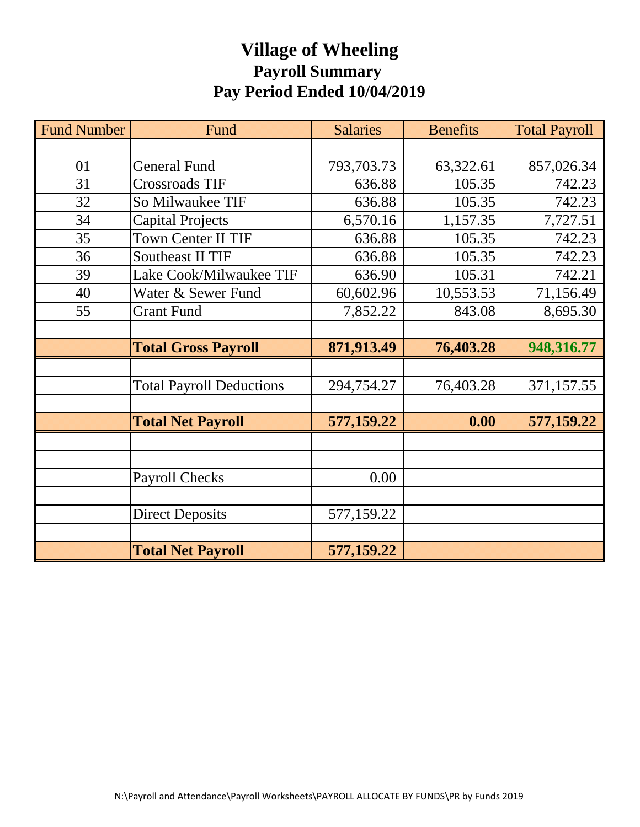## **Village of Wheeling Payroll Summary Pay Period Ended 10/04/2019**

| <b>Fund Number</b> | Fund                            | <b>Salaries</b> | <b>Benefits</b> | <b>Total Payroll</b> |
|--------------------|---------------------------------|-----------------|-----------------|----------------------|
|                    |                                 |                 |                 |                      |
| 01                 | <b>General Fund</b>             | 793,703.73      | 63,322.61       | 857,026.34           |
| 31                 | <b>Crossroads TIF</b>           | 636.88          | 105.35          | 742.23               |
| 32                 | So Milwaukee TIF                | 636.88          | 105.35          | 742.23               |
| 34                 | <b>Capital Projects</b>         | 6,570.16        | 1,157.35        | 7,727.51             |
| 35                 | Town Center II TIF              | 636.88          | 105.35          | 742.23               |
| 36                 | <b>Southeast II TIF</b>         | 636.88          | 105.35          | 742.23               |
| 39                 | Lake Cook/Milwaukee TIF         | 636.90          | 105.31          | 742.21               |
| 40                 | Water & Sewer Fund              | 60,602.96       | 10,553.53       | 71,156.49            |
| 55                 | <b>Grant Fund</b>               | 7,852.22        | 843.08          | 8,695.30             |
|                    |                                 |                 |                 |                      |
|                    | <b>Total Gross Payroll</b>      | 871,913.49      | 76,403.28       | 948,316.77           |
|                    |                                 |                 |                 |                      |
|                    | <b>Total Payroll Deductions</b> | 294,754.27      | 76,403.28       | 371,157.55           |
|                    |                                 |                 |                 |                      |
|                    | <b>Total Net Payroll</b>        | 577,159.22      | 0.00            | 577,159.22           |
|                    |                                 |                 |                 |                      |
|                    |                                 |                 |                 |                      |
|                    | <b>Payroll Checks</b>           | 0.00            |                 |                      |
|                    |                                 |                 |                 |                      |
|                    | <b>Direct Deposits</b>          | 577,159.22      |                 |                      |
|                    |                                 |                 |                 |                      |
|                    | <b>Total Net Payroll</b>        | 577,159.22      |                 |                      |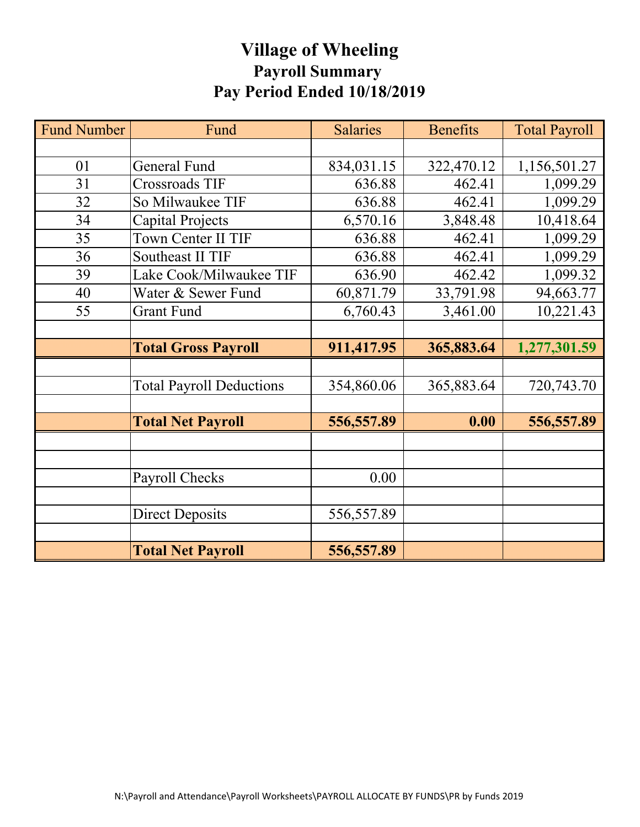## **Village of Wheeling Payroll Summary Pay Period Ended 10/18/2019**

| <b>Fund Number</b> | Fund                            | <b>Salaries</b> | <b>Benefits</b> | <b>Total Payroll</b> |
|--------------------|---------------------------------|-----------------|-----------------|----------------------|
|                    |                                 |                 |                 |                      |
| 01                 | <b>General Fund</b>             | 834,031.15      | 322,470.12      | 1,156,501.27         |
| 31                 | <b>Crossroads TIF</b>           | 636.88          | 462.41          | 1,099.29             |
| 32                 | So Milwaukee TIF                | 636.88          | 462.41          | 1,099.29             |
| 34                 | Capital Projects                | 6,570.16        | 3,848.48        | 10,418.64            |
| 35                 | Town Center II TIF              | 636.88          | 462.41          | 1,099.29             |
| 36                 | Southeast II TIF                | 636.88          | 462.41          | 1,099.29             |
| 39                 | Lake Cook/Milwaukee TIF         | 636.90          | 462.42          | 1,099.32             |
| 40                 | Water & Sewer Fund              | 60,871.79       | 33,791.98       | 94,663.77            |
| 55                 | <b>Grant Fund</b>               | 6,760.43        | 3,461.00        | 10,221.43            |
|                    |                                 |                 |                 |                      |
|                    | <b>Total Gross Payroll</b>      | 911,417.95      | 365,883.64      | 1,277,301.59         |
|                    |                                 |                 |                 |                      |
|                    | <b>Total Payroll Deductions</b> | 354,860.06      | 365,883.64      | 720,743.70           |
|                    |                                 |                 |                 |                      |
|                    | <b>Total Net Payroll</b>        | 556,557.89      | 0.00            | 556, 557.89          |
|                    |                                 |                 |                 |                      |
|                    |                                 |                 |                 |                      |
|                    | Payroll Checks                  | 0.00            |                 |                      |
|                    |                                 |                 |                 |                      |
|                    | <b>Direct Deposits</b>          | 556,557.89      |                 |                      |
|                    |                                 |                 |                 |                      |
|                    | <b>Total Net Payroll</b>        | 556,557.89      |                 |                      |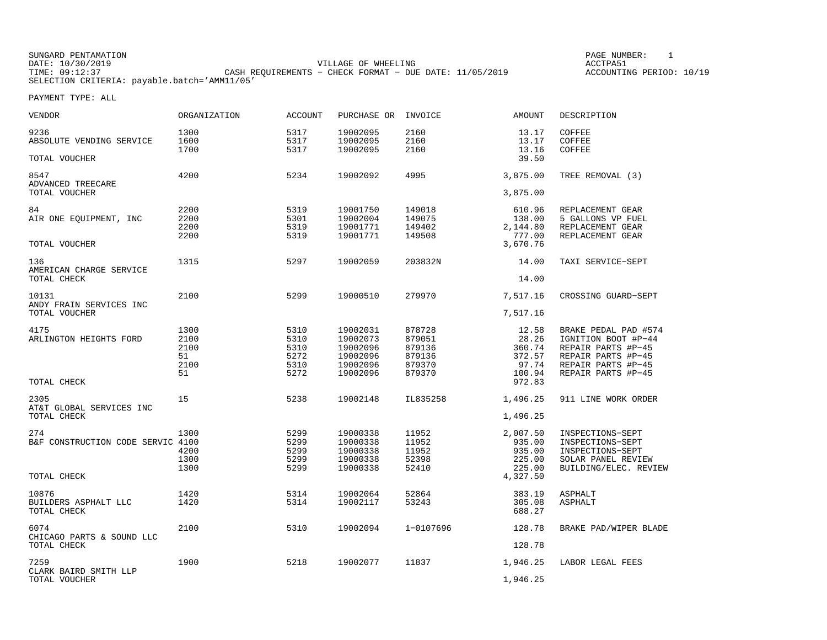SUNGARD PENTAMATION SUNGARD PENTAMATION SUNGARD PAGE NUMBER: 1 SUNGARD PAGE NUMBER: 1 SUNGARD PAGE NUMBER: 1 SUNG DATE: 10/30/2019 VILLAGE OF WHEELING ACCTPA51CASH REQUIREMENTS - CHECK FORMAT - DUE DATE: 11/05/2019 SELECTION CRITERIA: payable.batch='AMM11/05'

ACCOUNTING PERIOD: 10/19

| VENDOR                                   | ORGANIZATION | <b>ACCOUNT</b> | PURCHASE OR | INVOICE   | AMOUNT             | DESCRIPTION           |
|------------------------------------------|--------------|----------------|-------------|-----------|--------------------|-----------------------|
| 9236                                     | 1300         | 5317           | 19002095    | 2160      | 13.17              | COFFEE                |
| ABSOLUTE VENDING SERVICE                 | 1600         | 5317           | 19002095    | 2160      | 13.17              | COFFEE                |
|                                          | 1700         | 5317           | 19002095    | 2160      | 13.16              | COFFEE                |
| TOTAL VOUCHER                            |              |                |             |           | 39.50              |                       |
| 8547<br>ADVANCED TREECARE                | 4200         | 5234           | 19002092    | 4995      | 3,875.00           | TREE REMOVAL (3)      |
| TOTAL VOUCHER                            |              |                |             |           | 3,875.00           |                       |
| 84                                       | 2200         | 5319           | 19001750    | 149018    | 610.96             | REPLACEMENT GEAR      |
| AIR ONE EOUIPMENT, INC                   | 2200         | 5301           | 19002004    | 149075    | 138.00             | 5 GALLONS VP FUEL     |
|                                          |              |                |             |           |                    |                       |
|                                          | 2200         | 5319           | 19001771    | 149402    | 2,144.80           | REPLACEMENT GEAR      |
| TOTAL VOUCHER                            | 2200         | 5319           | 19001771    | 149508    | 777.00<br>3,670.76 | REPLACEMENT GEAR      |
|                                          |              |                |             |           |                    |                       |
| 136<br>AMERICAN CHARGE SERVICE           | 1315         | 5297           | 19002059    | 203832N   | 14.00              | TAXI SERVICE-SEPT     |
| TOTAL CHECK                              |              |                |             |           | 14.00              |                       |
| 10131<br>ANDY FRAIN SERVICES INC         | 2100         | 5299           | 19000510    | 279970    | 7,517.16           | CROSSING GUARD-SEPT   |
| TOTAL VOUCHER                            |              |                |             |           | 7,517.16           |                       |
| 4175                                     | 1300         | 5310           | 19002031    | 878728    | 12.58              | BRAKE PEDAL PAD #574  |
| ARLINGTON HEIGHTS FORD                   | 2100         | 5310           | 19002073    | 879051    | 28.26              | IGNITION BOOT #P-44   |
|                                          | 2100         | 5310           | 19002096    | 879136    | 360.74             | REPAIR PARTS #P-45    |
|                                          | 51           | 5272           | 19002096    | 879136    | 372.57             | REPAIR PARTS #P-45    |
|                                          |              |                |             |           |                    |                       |
|                                          | 2100         | 5310           | 19002096    | 879370    | 97.74              | REPAIR PARTS #P-45    |
|                                          | 51           | 5272           | 19002096    | 879370    | 100.94             | REPAIR PARTS #P-45    |
| TOTAL CHECK                              |              |                |             |           | 972.83             |                       |
| 2305                                     | 15           | 5238           | 19002148    | IL835258  | 1,496.25           | 911 LINE WORK ORDER   |
| AT&T GLOBAL SERVICES INC<br>TOTAL CHECK  |              |                |             |           | 1,496.25           |                       |
| 274                                      | 1300         | 5299           | 19000338    | 11952     | 2,007.50           | INSPECTIONS-SEPT      |
| B&F CONSTRUCTION CODE SERVIC 4100        |              | 5299           | 19000338    | 11952     | 935.00             | INSPECTIONS-SEPT      |
|                                          | 4200         | 5299           | 19000338    | 11952     | 935.00             | INSPECTIONS-SEPT      |
|                                          |              |                |             |           |                    |                       |
|                                          | 1300         | 5299           | 19000338    | 52398     | 225.00             | SOLAR PANEL REVIEW    |
|                                          | 1300         | 5299           | 19000338    | 52410     | 225.00             | BUILDING/ELEC. REVIEW |
| TOTAL CHECK                              |              |                |             |           | 4,327.50           |                       |
| 10876                                    | 1420         | 5314           | 19002064    | 52864     | 383.19             | <b>ASPHALT</b>        |
| BUILDERS ASPHALT LLC                     | 1420         | 5314           | 19002117    | 53243     | 305.08             | <b>ASPHALT</b>        |
| TOTAL CHECK                              |              |                |             |           | 688.27             |                       |
| 6074                                     | 2100         | 5310           | 19002094    | 1-0107696 | 128.78             | BRAKE PAD/WIPER BLADE |
| CHICAGO PARTS & SOUND LLC<br>TOTAL CHECK |              |                |             |           | 128.78             |                       |
|                                          |              |                |             |           |                    |                       |
| 7259<br>CLARK BAIRD SMITH LLP            | 1900         | 5218           | 19002077    | 11837     | 1,946.25           | LABOR LEGAL FEES      |
| TOTAL VOUCHER                            |              |                |             |           | 1,946.25           |                       |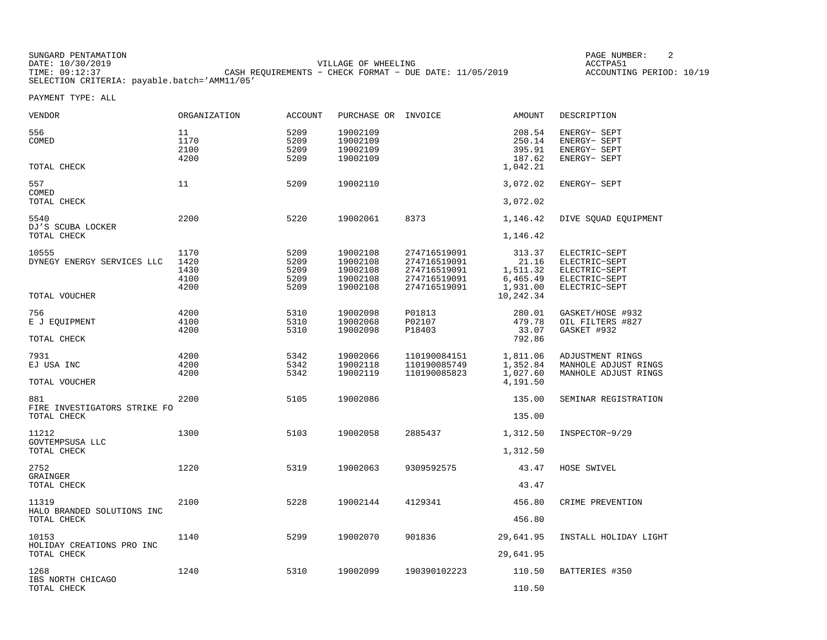SUNGARD PENTAMATION PAGE NUMBER: 2DATE: 10/30/2019 VILLAGE OF WHEELING ACCTPA51CASH REQUIREMENTS - CHECK FORMAT - DUE DATE: 11/05/2019 SELECTION CRITERIA: payable.batch='AMM11/05'

ACCOUNTING PERIOD: 10/19

| VENDOR                                             | ORGANIZATION                         | <b>ACCOUNT</b>                       | PURCHASE OR                                              | INVOICE                                                                      | AMOUNT                                              | DESCRIPTION                                                                       |
|----------------------------------------------------|--------------------------------------|--------------------------------------|----------------------------------------------------------|------------------------------------------------------------------------------|-----------------------------------------------------|-----------------------------------------------------------------------------------|
| 556<br>COMED<br>TOTAL CHECK                        | 11<br>1170<br>2100<br>4200           | 5209<br>5209<br>5209<br>5209         | 19002109<br>19002109<br>19002109<br>19002109             |                                                                              | 208.54<br>250.14<br>395.91<br>187.62<br>1,042.21    | ENERGY- SEPT<br>ENERGY- SEPT<br>ENERGY- SEPT<br>ENERGY- SEPT                      |
| 557                                                | 11                                   | 5209                                 | 19002110                                                 |                                                                              | 3,072.02                                            | ENERGY- SEPT                                                                      |
| COMED<br>TOTAL CHECK                               |                                      |                                      |                                                          |                                                                              | 3,072.02                                            |                                                                                   |
| 5540<br>DJ'S SCUBA LOCKER<br>TOTAL CHECK           | 2200                                 | 5220                                 | 19002061                                                 | 8373                                                                         | 1,146.42<br>1,146.42                                | DIVE SQUAD EQUIPMENT                                                              |
|                                                    |                                      |                                      |                                                          |                                                                              |                                                     |                                                                                   |
| 10555<br>DYNEGY ENERGY SERVICES LLC                | 1170<br>1420<br>1430<br>4100<br>4200 | 5209<br>5209<br>5209<br>5209<br>5209 | 19002108<br>19002108<br>19002108<br>19002108<br>19002108 | 274716519091<br>274716519091<br>274716519091<br>274716519091<br>274716519091 | 313.37<br>21.16<br>1,511.32<br>6,465.49<br>1,931.00 | ELECTRIC-SEPT<br>ELECTRIC-SEPT<br>ELECTRIC-SEPT<br>ELECTRIC-SEPT<br>ELECTRIC-SEPT |
| TOTAL VOUCHER                                      |                                      |                                      |                                                          |                                                                              | 10,242.34                                           |                                                                                   |
| 756<br>E J EQUIPMENT                               | 4200<br>4100<br>4200                 | 5310<br>5310<br>5310                 | 19002098<br>19002068<br>19002098                         | P01813<br>P02107<br>P18403                                                   | 280.01<br>479.78<br>33.07                           | GASKET/HOSE #932<br>OIL FILTERS #827<br>GASKET #932                               |
| TOTAL CHECK                                        |                                      |                                      |                                                          |                                                                              | 792.86                                              |                                                                                   |
| 7931<br>EJ USA INC<br>TOTAL VOUCHER                | 4200<br>4200<br>4200                 | 5342<br>5342<br>5342                 | 19002066<br>19002118<br>19002119                         | 110190084151<br>110190085749<br>110190085823                                 | 1,811.06<br>1,352.84<br>1,027.60<br>4,191.50        | ADJUSTMENT RINGS<br>MANHOLE ADJUST RINGS<br>MANHOLE ADJUST RINGS                  |
| 881                                                | 2200                                 | 5105                                 | 19002086                                                 |                                                                              | 135.00                                              | SEMINAR REGISTRATION                                                              |
| FIRE INVESTIGATORS STRIKE FO<br>TOTAL CHECK        |                                      |                                      |                                                          |                                                                              | 135.00                                              |                                                                                   |
| 11212                                              | 1300                                 | 5103                                 | 19002058                                                 | 2885437                                                                      | 1,312.50                                            | INSPECTOR-9/29                                                                    |
| GOVTEMPSUSA LLC<br>TOTAL CHECK                     |                                      |                                      |                                                          |                                                                              | 1,312.50                                            |                                                                                   |
| 2752                                               | 1220                                 | 5319                                 | 19002063                                                 | 9309592575                                                                   | 43.47                                               | HOSE SWIVEL                                                                       |
| GRAINGER<br>TOTAL CHECK                            |                                      |                                      |                                                          |                                                                              | 43.47                                               |                                                                                   |
| 11319<br>HALO BRANDED SOLUTIONS INC<br>TOTAL CHECK | 2100                                 | 5228                                 | 19002144                                                 | 4129341                                                                      | 456.80<br>456.80                                    | CRIME PREVENTION                                                                  |
| 10153                                              | 1140                                 | 5299                                 | 19002070                                                 | 901836                                                                       | 29,641.95                                           | INSTALL HOLIDAY LIGHT                                                             |
| HOLIDAY CREATIONS PRO INC<br>TOTAL CHECK           |                                      |                                      |                                                          |                                                                              | 29,641.95                                           |                                                                                   |
| 1268<br>IBS NORTH CHICAGO<br>TOTAL CHECK           | 1240                                 | 5310                                 | 19002099                                                 | 190390102223                                                                 | 110.50<br>110.50                                    | BATTERIES #350                                                                    |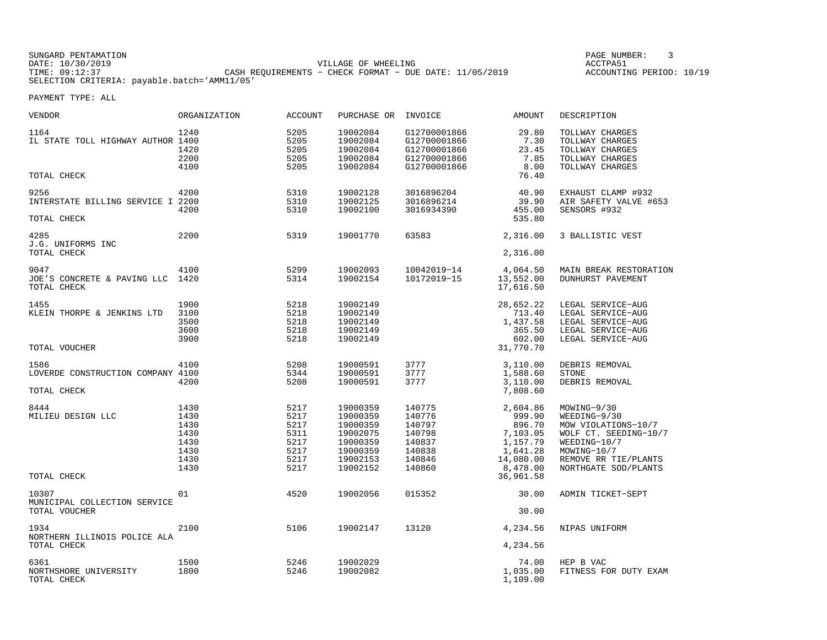SUNGARD PENTAMATION PAGE NUMBER: 3DATE: 10/30/2019 VILLAGE OF WHEELING ACCTPA51TIMES OF MINIMING CASH REQUIREMENTS - CHECK FORMAT - DUE DATE: 11/05/2019 SELECTION CRITERIA: payable.batch='AMM11/05'

ACCOUNTING PERIOD: 10/19

| VENDOR                                                   | ORGANIZATION                                                 | <b>ACCOUNT</b>                                               | PURCHASE OR                                                                                  | INVOICE                                                                      | <b>AMOUNT</b>                                                                             | DESCRIPTION                                                                                                                                                |
|----------------------------------------------------------|--------------------------------------------------------------|--------------------------------------------------------------|----------------------------------------------------------------------------------------------|------------------------------------------------------------------------------|-------------------------------------------------------------------------------------------|------------------------------------------------------------------------------------------------------------------------------------------------------------|
| 1164<br>IL STATE TOLL HIGHWAY AUTHOR 1400                | 1240<br>1420<br>2200<br>4100                                 | 5205<br>5205<br>5205<br>5205<br>5205                         | 19002084<br>19002084<br>19002084<br>19002084<br>19002084                                     | G12700001866<br>G12700001866<br>G12700001866<br>G12700001866<br>G12700001866 | 29.80<br>7.30<br>23.45<br>7.85<br>8.00                                                    | TOLLWAY CHARGES<br>TOLLWAY CHARGES<br>TOLLWAY CHARGES<br>TOLLWAY CHARGES<br>TOLLWAY CHARGES                                                                |
| TOTAL CHECK                                              |                                                              |                                                              |                                                                                              |                                                                              | 76.40                                                                                     |                                                                                                                                                            |
| 9256<br>INTERSTATE BILLING SERVICE I 2200<br>TOTAL CHECK | 4200<br>4200                                                 | 5310<br>5310<br>5310                                         | 19002128<br>19002125<br>19002100                                                             | 3016896204<br>3016896214<br>3016934390                                       | 40.90<br>39.90<br>455.00<br>535.80                                                        | EXHAUST CLAMP #932<br>AIR SAFETY VALVE #653<br>SENSORS #932                                                                                                |
| 4285<br>J.G. UNIFORMS INC<br>TOTAL CHECK                 | 2200                                                         | 5319                                                         | 19001770                                                                                     | 63583                                                                        | 2,316.00<br>2,316.00                                                                      | 3 BALLISTIC VEST                                                                                                                                           |
| 9047<br>JOE'S CONCRETE & PAVING LLC 1420<br>TOTAL CHECK  | 4100                                                         | 5299<br>5314                                                 | 19002093<br>19002154                                                                         | 10042019-14<br>10172019-15                                                   | 4,064.50<br>13,552.00<br>17,616.50                                                        | MAIN BREAK RESTORATION<br>DUNHURST PAVEMENT                                                                                                                |
| 1455<br>KLEIN THORPE & JENKINS LTD                       | 1900<br>3100<br>3500<br>3600<br>3900                         | 5218<br>5218<br>5218<br>5218<br>5218                         | 19002149<br>19002149<br>19002149<br>19002149<br>19002149                                     |                                                                              | 28,652.22<br>713.40<br>1,437.58<br>365.50<br>602.00                                       | LEGAL SERVICE-AUG<br>LEGAL SERVICE-AUG<br>LEGAL SERVICE-AUG<br>LEGAL SERVICE-AUG<br>LEGAL SERVICE-AUG                                                      |
| TOTAL VOUCHER                                            |                                                              |                                                              |                                                                                              |                                                                              | 31,770.70                                                                                 |                                                                                                                                                            |
| 1586<br>LOVERDE CONSTRUCTION COMPANY 4100<br>TOTAL CHECK | 4100<br>4200                                                 | 5208<br>5344<br>5208                                         | 19000591<br>19000591<br>19000591                                                             | 3777<br>3777<br>3777                                                         | 3,110.00<br>1,588.60<br>3,110.00<br>7,808.60                                              | DEBRIS REMOVAL<br><b>STONE</b><br>DEBRIS REMOVAL                                                                                                           |
| 8444<br>MILIEU DESIGN LLC                                | 1430<br>1430<br>1430<br>1430<br>1430<br>1430<br>1430<br>1430 | 5217<br>5217<br>5217<br>5311<br>5217<br>5217<br>5217<br>5217 | 19000359<br>19000359<br>19000359<br>19002075<br>19000359<br>19000359<br>19002153<br>19002152 | 140775<br>140776<br>140797<br>140798<br>140837<br>140838<br>140846<br>140860 | 2,604.86<br>999.90<br>896.70<br>7,103.05<br>1,157.79<br>1,641.28<br>14,080.00<br>8,478.00 | MOWING-9/30<br>WEEDING-9/30<br>MOW VIOLATIONS-10/7<br>WOLF CT. SEEDING-10/7<br>WEEDING-10/7<br>MOWING-10/7<br>REMOVE RR TIE/PLANTS<br>NORTHGATE SOD/PLANTS |
| TOTAL CHECK                                              |                                                              |                                                              |                                                                                              |                                                                              | 36,961.58                                                                                 |                                                                                                                                                            |
| 10307<br>MUNICIPAL COLLECTION SERVICE<br>TOTAL VOUCHER   | 01                                                           | 4520                                                         | 19002056                                                                                     | 015352                                                                       | 30.00<br>30.00                                                                            | ADMIN TICKET-SEPT                                                                                                                                          |
| 1934<br>NORTHERN ILLINOIS POLICE ALA<br>TOTAL CHECK      | 2100                                                         | 5106                                                         | 19002147                                                                                     | 13120                                                                        | 4,234.56<br>4,234.56                                                                      | NIPAS UNIFORM                                                                                                                                              |
| 6361<br>NORTHSHORE UNIVERSITY<br>TOTAL CHECK             | 1500<br>1800                                                 | 5246<br>5246                                                 | 19002029<br>19002082                                                                         |                                                                              | 74.00<br>1,035.00<br>1,109.00                                                             | HEP B VAC<br>FITNESS FOR DUTY EXAM                                                                                                                         |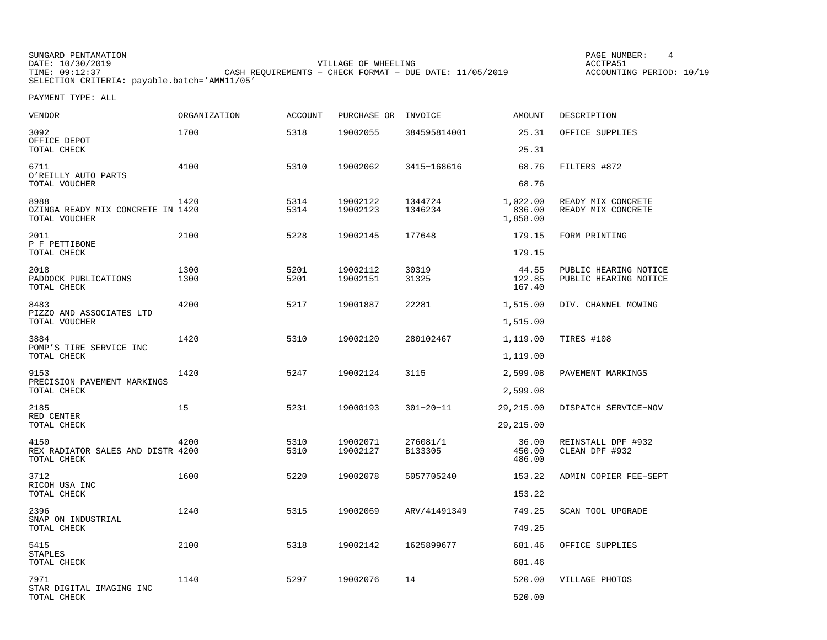SUNGARD PENTAMATION PAGE NUMBER: 4DATE: 10/30/2019 VILLAGE OF WHEELING ACCTPA51CASH REQUIREMENTS - CHECK FORMAT - DUE DATE: 11/05/2019 SELECTION CRITERIA: payable.batch='AMM11/05'

ACCOUNTING PERIOD: 10/19

| <b>VENDOR</b>                                              | <b>ORGANIZATION</b> | <b>ACCOUNT</b> | PURCHASE OR INVOICE  |                     | AMOUNT                         | DESCRIPTION                                    |
|------------------------------------------------------------|---------------------|----------------|----------------------|---------------------|--------------------------------|------------------------------------------------|
| 3092<br>OFFICE DEPOT                                       | 1700                | 5318           | 19002055             | 384595814001        | 25.31<br>25.31                 | OFFICE SUPPLIES                                |
| TOTAL CHECK                                                |                     |                |                      |                     |                                |                                                |
| 6711<br>O'REILLY AUTO PARTS<br>TOTAL VOUCHER               | 4100                | 5310           | 19002062             | 3415-168616         | 68.76<br>68.76                 | FILTERS #872                                   |
| 8988<br>OZINGA READY MIX CONCRETE IN 1420<br>TOTAL VOUCHER | 1420                | 5314<br>5314   | 19002122<br>19002123 | 1344724<br>1346234  | 1,022.00<br>836.00<br>1,858.00 | READY MIX CONCRETE<br>READY MIX CONCRETE       |
| 2011<br>P F PETTIBONE                                      | 2100                | 5228           | 19002145             | 177648              | 179.15                         | FORM PRINTING                                  |
| TOTAL CHECK                                                |                     |                |                      |                     | 179.15                         |                                                |
| 2018<br>PADDOCK PUBLICATIONS<br>TOTAL CHECK                | 1300<br>1300        | 5201<br>5201   | 19002112<br>19002151 | 30319<br>31325      | 44.55<br>122.85<br>167.40      | PUBLIC HEARING NOTICE<br>PUBLIC HEARING NOTICE |
| 8483<br>PIZZO AND ASSOCIATES LTD                           | 4200                | 5217           | 19001887             | 22281               | 1,515.00                       | DIV. CHANNEL MOWING                            |
| TOTAL VOUCHER                                              |                     |                |                      |                     | 1,515.00                       |                                                |
| 3884<br>POMP'S TIRE SERVICE INC                            | 1420                | 5310           | 19002120             | 280102467           | 1,119.00                       | TIRES #108                                     |
| TOTAL CHECK                                                |                     |                |                      |                     | 1,119.00                       |                                                |
| 9153<br>PRECISION PAVEMENT MARKINGS                        | 1420                | 5247           | 19002124             | 3115                | 2,599.08                       | PAVEMENT MARKINGS                              |
| TOTAL CHECK                                                |                     |                |                      |                     | 2,599.08                       |                                                |
| 2185<br>RED CENTER                                         | 15                  | 5231           | 19000193             | $301 - 20 - 11$     | 29,215.00                      | DISPATCH SERVICE-NOV                           |
| TOTAL CHECK                                                |                     |                |                      |                     | 29, 215.00                     |                                                |
| 4150<br>REX RADIATOR SALES AND DISTR 4200<br>TOTAL CHECK   | 4200                | 5310<br>5310   | 19002071<br>19002127 | 276081/1<br>B133305 | 36.00<br>450.00<br>486.00      | REINSTALL DPF #932<br>CLEAN DPF #932           |
| 3712<br>RICOH USA INC                                      | 1600                | 5220           | 19002078             | 5057705240          | 153.22                         | ADMIN COPIER FEE-SEPT                          |
| TOTAL CHECK                                                |                     |                |                      |                     | 153.22                         |                                                |
| 2396                                                       | 1240                | 5315           | 19002069             | ARV/41491349        | 749.25                         | SCAN TOOL UPGRADE                              |
| SNAP ON INDUSTRIAL<br>TOTAL CHECK                          |                     |                |                      |                     | 749.25                         |                                                |
| 5415<br>STAPLES                                            | 2100                | 5318           | 19002142             | 1625899677          | 681.46                         | OFFICE SUPPLIES                                |
| TOTAL CHECK                                                |                     |                |                      |                     | 681.46                         |                                                |
| 7971<br>STAR DIGITAL IMAGING INC                           | 1140                | 5297           | 19002076             | 14                  | 520.00                         | VILLAGE PHOTOS                                 |
| TOTAL CHECK                                                |                     |                |                      |                     | 520.00                         |                                                |